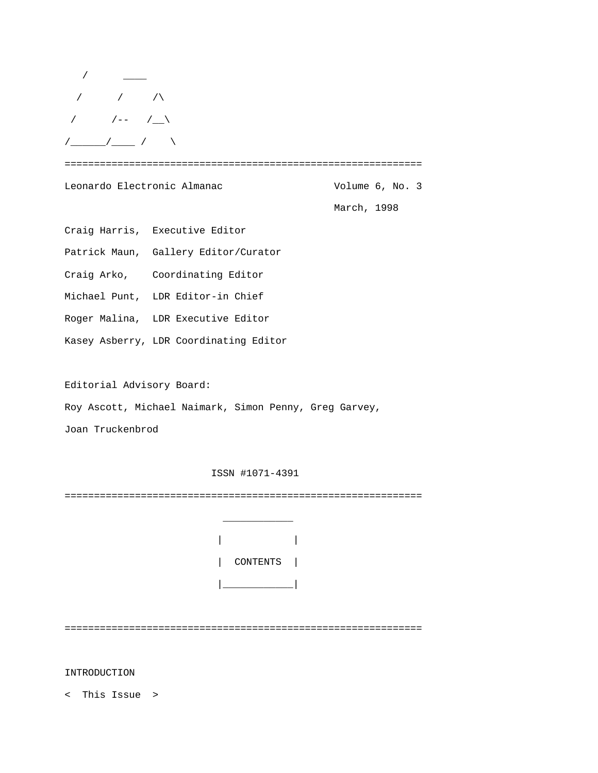| $\sqrt{2}$                                                                                                                                                                                                                                                                                                          |                                        |                 |  |  |
|---------------------------------------------------------------------------------------------------------------------------------------------------------------------------------------------------------------------------------------------------------------------------------------------------------------------|----------------------------------------|-----------------|--|--|
| $\frac{1}{2}$ $\frac{1}{2}$ $\frac{1}{2}$ $\frac{1}{2}$ $\frac{1}{2}$ $\frac{1}{2}$ $\frac{1}{2}$ $\frac{1}{2}$ $\frac{1}{2}$ $\frac{1}{2}$ $\frac{1}{2}$ $\frac{1}{2}$ $\frac{1}{2}$ $\frac{1}{2}$ $\frac{1}{2}$ $\frac{1}{2}$ $\frac{1}{2}$ $\frac{1}{2}$ $\frac{1}{2}$ $\frac{1}{2}$ $\frac{1}{2}$ $\frac{1}{2}$ |                                        |                 |  |  |
| $\frac{1}{\sqrt{2}}$ $\frac{1}{\sqrt{2}}$ $\frac{1}{\sqrt{2}}$                                                                                                                                                                                                                                                      |                                        |                 |  |  |
|                                                                                                                                                                                                                                                                                                                     |                                        |                 |  |  |
| Leonardo Electronic Almanac                                                                                                                                                                                                                                                                                         |                                        | Volume 6, No. 3 |  |  |
|                                                                                                                                                                                                                                                                                                                     |                                        | March, 1998     |  |  |
|                                                                                                                                                                                                                                                                                                                     | Craig Harris, Executive Editor         |                 |  |  |
|                                                                                                                                                                                                                                                                                                                     | Patrick Maun, Gallery Editor/Curator   |                 |  |  |
|                                                                                                                                                                                                                                                                                                                     | Craig Arko, Coordinating Editor        |                 |  |  |
|                                                                                                                                                                                                                                                                                                                     | Michael Punt, LDR Editor-in Chief      |                 |  |  |
|                                                                                                                                                                                                                                                                                                                     | Roger Malina, LDR Executive Editor     |                 |  |  |
|                                                                                                                                                                                                                                                                                                                     | Kasey Asberry, LDR Coordinating Editor |                 |  |  |
|                                                                                                                                                                                                                                                                                                                     |                                        |                 |  |  |

Editorial Advisory Board:

Roy Ascott, Michael Naimark, Simon Penny, Greg Garvey,

Joan Truckenbrod

ISSN #1071-4391

=============================================================

|  | CONTENTS |  |
|--|----------|--|
|  |          |  |

 $\frac{1}{2}$  ,  $\frac{1}{2}$  ,  $\frac{1}{2}$  ,  $\frac{1}{2}$  ,  $\frac{1}{2}$  ,  $\frac{1}{2}$  ,  $\frac{1}{2}$  ,  $\frac{1}{2}$  ,  $\frac{1}{2}$  ,  $\frac{1}{2}$ 

=============================================================

INTRODUCTION

< This Issue >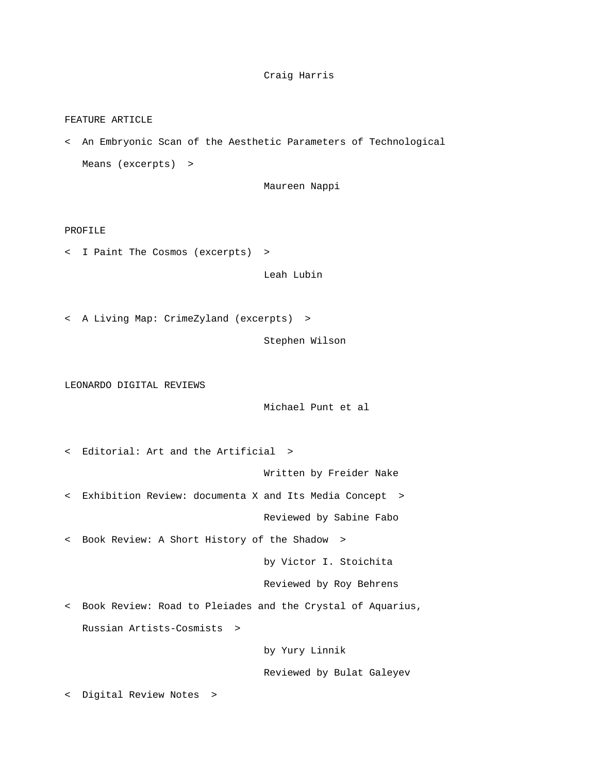# Craig Harris

### FEATURE ARTICLE

< An Embryonic Scan of the Aesthetic Parameters of Technological Means (excerpts) >

Maureen Nappi

### PROFILE

< I Paint The Cosmos (excerpts) >

Leah Lubin

< A Living Map: CrimeZyland (excerpts) >

Stephen Wilson

LEONARDO DIGITAL REVIEWS

Michael Punt et al

< Editorial: Art and the Artificial >

Written by Freider Nake

< Exhibition Review: documenta X and Its Media Concept >

Reviewed by Sabine Fabo

< Book Review: A Short History of the Shadow >

by Victor I. Stoichita

Reviewed by Roy Behrens

< Book Review: Road to Pleiades and the Crystal of Aquarius, Russian Artists-Cosmists >

by Yury Linnik

Reviewed by Bulat Galeyev

< Digital Review Notes >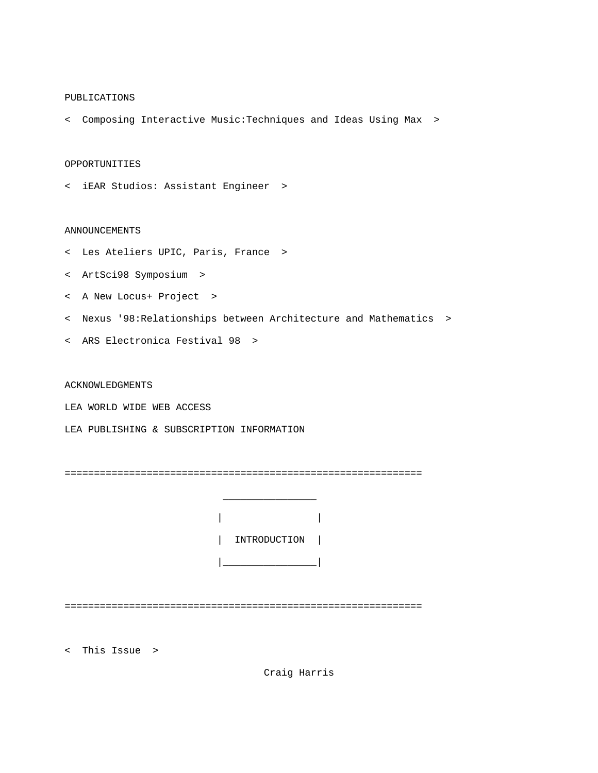### PUBLICATIONS

< Composing Interactive Music:Techniques and Ideas Using Max >

## OPPORTUNITIES

< iEAR Studios: Assistant Engineer >

### ANNOUNCEMENTS

- < Les Ateliers UPIC, Paris, France >
- < ArtSci98 Symposium >
- < A New Locus+ Project >
- < Nexus '98:Relationships between Architecture and Mathematics >
- < ARS Electronica Festival 98 >

ACKNOWLEDGMENTS

LEA WORLD WIDE WEB ACCESS

LEA PUBLISHING & SUBSCRIPTION INFORMATION

 $\mathcal{L}_\text{max}$  and  $\mathcal{L}_\text{max}$  are the set of the set of the set of the set of the set of the set of the set of the set of the set of the set of the set of the set of the set of the set of the set of the set of the set o

=============================================================

|  | INTRODUCTION |  |
|--|--------------|--|
|  |              |  |

=============================================================

< This Issue >

Craig Harris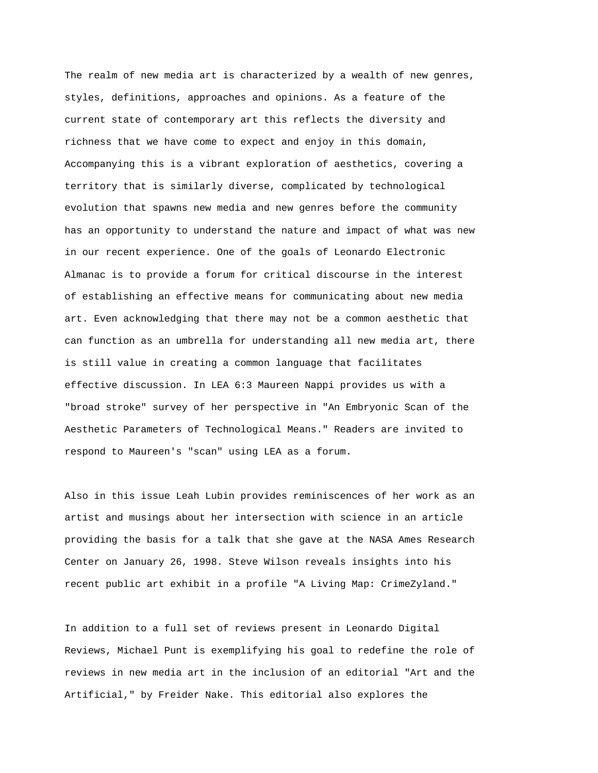The realm of new media art is characterized by a wealth of new genres, styles, definitions, approaches and opinions. As a feature of the current state of contemporary art this reflects the diversity and richness that we have come to expect and enjoy in this domain, Accompanying this is a vibrant exploration of aesthetics, covering a territory that is similarly diverse, complicated by technological evolution that spawns new media and new genres before the community has an opportunity to understand the nature and impact of what was new in our recent experience. One of the goals of Leonardo Electronic Almanac is to provide a forum for critical discourse in the interest of establishing an effective means for communicating about new media art. Even acknowledging that there may not be a common aesthetic that can function as an umbrella for understanding all new media art, there is still value in creating a common language that facilitates effective discussion. In LEA 6:3 Maureen Nappi provides us with a "broad stroke" survey of her perspective in "An Embryonic Scan of the Aesthetic Parameters of Technological Means." Readers are invited to respond to Maureen's "scan" using LEA as a forum.

Also in this issue Leah Lubin provides reminiscences of her work as an artist and musings about her intersection with science in an article providing the basis for a talk that she gave at the NASA Ames Research Center on January 26, 1998. Steve Wilson reveals insights into his recent public art exhibit in a profile "A Living Map: CrimeZyland."

In addition to a full set of reviews present in Leonardo Digital Reviews, Michael Punt is exemplifying his goal to redefine the role of reviews in new media art in the inclusion of an editorial "Art and the Artificial," by Freider Nake. This editorial also explores the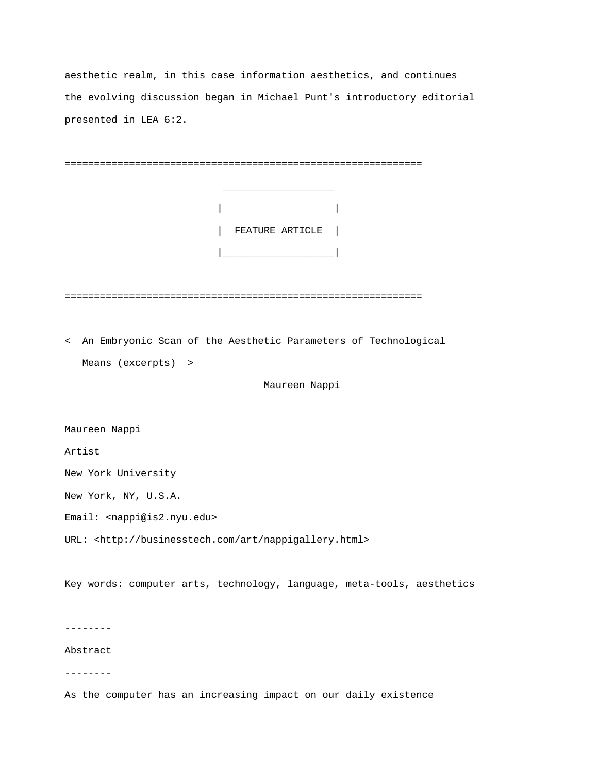aesthetic realm, in this case information aesthetics, and continues the evolving discussion began in Michael Punt's introductory editorial presented in LEA 6:2.

| FEATURE ARTICLE                                                        |
|------------------------------------------------------------------------|
|                                                                        |
|                                                                        |
| < An Embryonic Scan of the Aesthetic Parameters of Technological       |
| Means (excerpts) >                                                     |
| Maureen Nappi                                                          |
|                                                                        |
| Maureen Nappi                                                          |
| Artist                                                                 |
| New York University                                                    |
| New York, NY, U.S.A.                                                   |
| Email: < nappi@is2.nyu.edu>                                            |
| URL: <http: art="" businesstech.com="" nappigallery.html=""></http:>   |
| Key words: computer arts, technology, language, meta-tools, aesthetics |

--------

Abstract

--------

As the computer has an increasing impact on our daily existence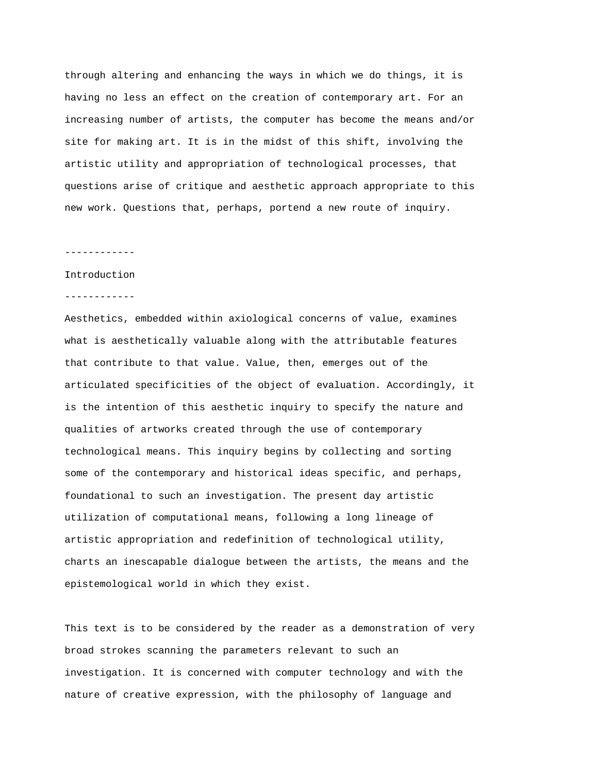through altering and enhancing the ways in which we do things, it is having no less an effect on the creation of contemporary art. For an increasing number of artists, the computer has become the means and/or site for making art. It is in the midst of this shift, involving the artistic utility and appropriation of technological processes, that questions arise of critique and aesthetic approach appropriate to this new work. Questions that, perhaps, portend a new route of inquiry.

### ------------

### Introduction

#### ------------

Aesthetics, embedded within axiological concerns of value, examines what is aesthetically valuable along with the attributable features that contribute to that value. Value, then, emerges out of the articulated specificities of the object of evaluation. Accordingly, it is the intention of this aesthetic inquiry to specify the nature and qualities of artworks created through the use of contemporary technological means. This inquiry begins by collecting and sorting some of the contemporary and historical ideas specific, and perhaps, foundational to such an investigation. The present day artistic utilization of computational means, following a long lineage of artistic appropriation and redefinition of technological utility, charts an inescapable dialogue between the artists, the means and the epistemological world in which they exist.

This text is to be considered by the reader as a demonstration of very broad strokes scanning the parameters relevant to such an investigation. It is concerned with computer technology and with the nature of creative expression, with the philosophy of language and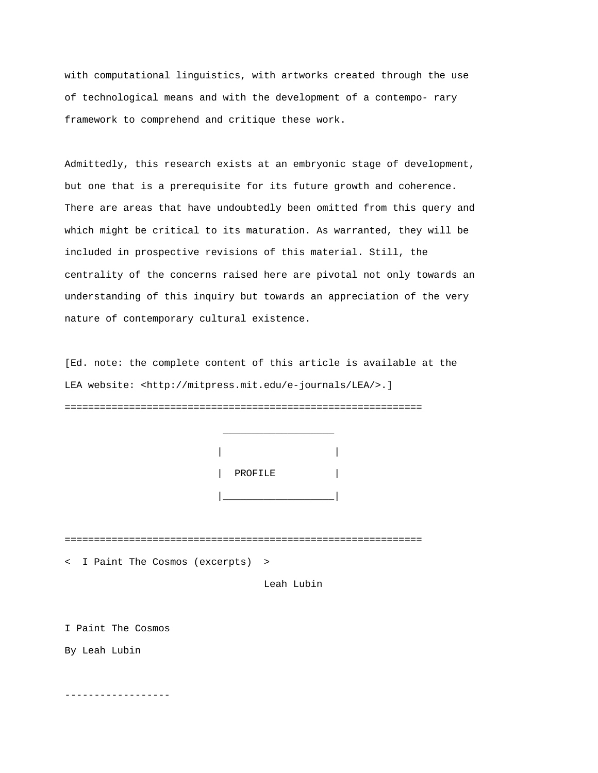with computational linguistics, with artworks created through the use of technological means and with the development of a contempo- rary framework to comprehend and critique these work.

Admittedly, this research exists at an embryonic stage of development, but one that is a prerequisite for its future growth and coherence. There are areas that have undoubtedly been omitted from this query and which might be critical to its maturation. As warranted, they will be included in prospective revisions of this material. Still, the centrality of the concerns raised here are pivotal not only towards an understanding of this inquiry but towards an appreciation of the very nature of contemporary cultural existence.

[Ed. note: the complete content of this article is available at the LEA website: <http://mitpress.mit.edu/e-journals/LEA/>.] =============================================================



=============================================================

< I Paint The Cosmos (excerpts) >

Leah Lubin

I Paint The Cosmos

By Leah Lubin

------------------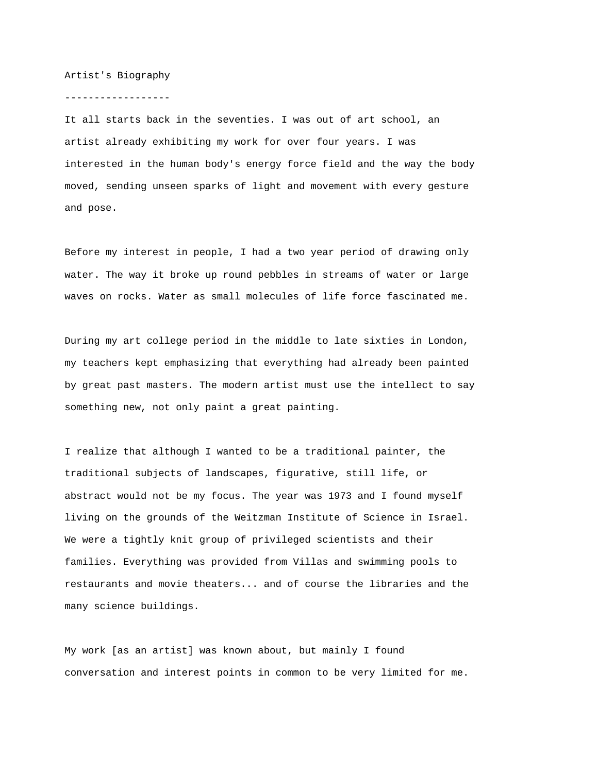### Artist's Biography

## ------------------

It all starts back in the seventies. I was out of art school, an artist already exhibiting my work for over four years. I was interested in the human body's energy force field and the way the body moved, sending unseen sparks of light and movement with every gesture and pose.

Before my interest in people, I had a two year period of drawing only water. The way it broke up round pebbles in streams of water or large waves on rocks. Water as small molecules of life force fascinated me.

During my art college period in the middle to late sixties in London, my teachers kept emphasizing that everything had already been painted by great past masters. The modern artist must use the intellect to say something new, not only paint a great painting.

I realize that although I wanted to be a traditional painter, the traditional subjects of landscapes, figurative, still life, or abstract would not be my focus. The year was 1973 and I found myself living on the grounds of the Weitzman Institute of Science in Israel. We were a tightly knit group of privileged scientists and their families. Everything was provided from Villas and swimming pools to restaurants and movie theaters... and of course the libraries and the many science buildings.

My work [as an artist] was known about, but mainly I found conversation and interest points in common to be very limited for me.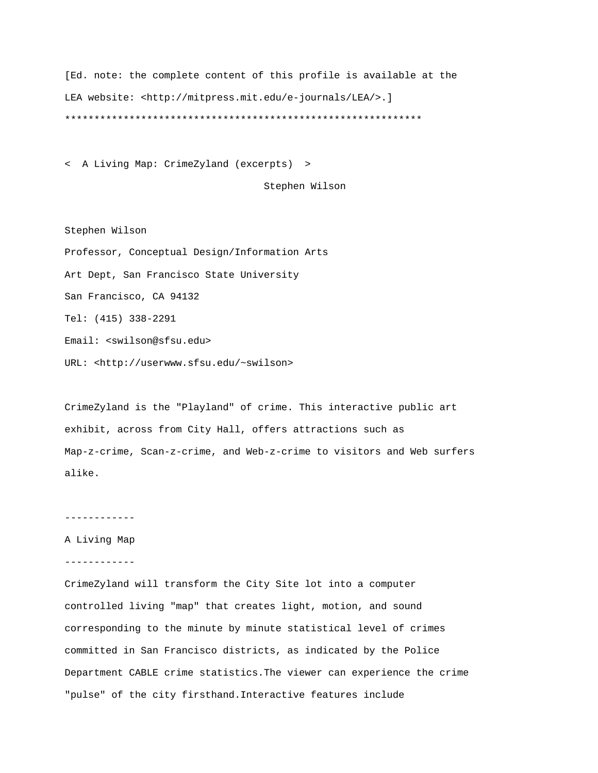[Ed. note: the complete content of this profile is available at the LEA website: <http://mitpress.mit.edu/e-journals/LEA/>.] \*\*\*\*\*\*\*\*\*\*\*\*\*\*\*\*\*\*\*\*\*\*\*\*\*\*\*\*\*\*\*\*\*\*\*\*\*\*\*\*\*\*\*\*\*\*\*\*\*\*\*\*\*\*\*\*\*\*\*\*\*

< A Living Map: CrimeZyland (excerpts) >

Stephen Wilson

Stephen Wilson Professor, Conceptual Design/Information Arts Art Dept, San Francisco State University San Francisco, CA 94132 Tel: (415) 338-2291 Email: <swilson@sfsu.edu> URL: <http://userwww.sfsu.edu/~swilson>

CrimeZyland is the "Playland" of crime. This interactive public art exhibit, across from City Hall, offers attractions such as Map-z-crime, Scan-z-crime, and Web-z-crime to visitors and Web surfers alike.

------------

### A Living Map

------------

CrimeZyland will transform the City Site lot into a computer controlled living "map" that creates light, motion, and sound corresponding to the minute by minute statistical level of crimes committed in San Francisco districts, as indicated by the Police Department CABLE crime statistics.The viewer can experience the crime "pulse" of the city firsthand.Interactive features include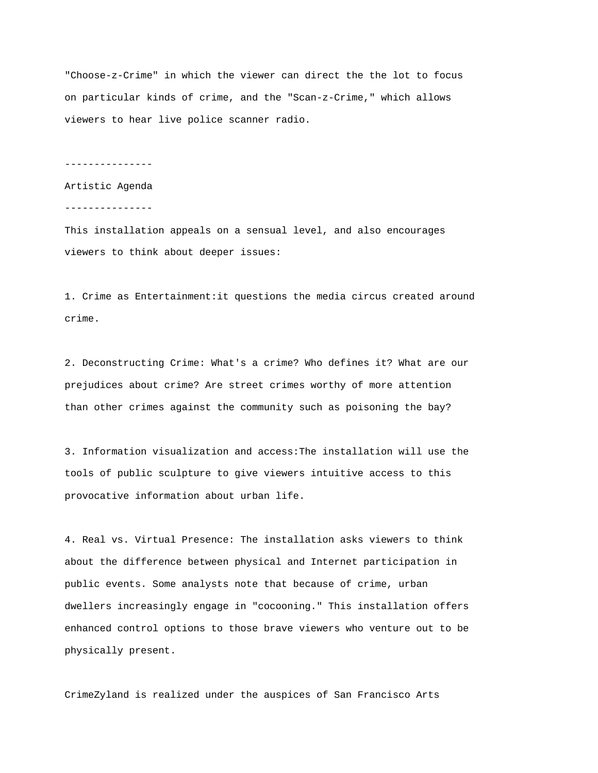"Choose-z-Crime" in which the viewer can direct the the lot to focus on particular kinds of crime, and the "Scan-z-Crime," which allows viewers to hear live police scanner radio.

---------------

Artistic Agenda

---------------

This installation appeals on a sensual level, and also encourages viewers to think about deeper issues:

1. Crime as Entertainment:it questions the media circus created around crime.

2. Deconstructing Crime: What's a crime? Who defines it? What are our prejudices about crime? Are street crimes worthy of more attention than other crimes against the community such as poisoning the bay?

3. Information visualization and access:The installation will use the tools of public sculpture to give viewers intuitive access to this provocative information about urban life.

4. Real vs. Virtual Presence: The installation asks viewers to think about the difference between physical and Internet participation in public events. Some analysts note that because of crime, urban dwellers increasingly engage in "cocooning." This installation offers enhanced control options to those brave viewers who venture out to be physically present.

CrimeZyland is realized under the auspices of San Francisco Arts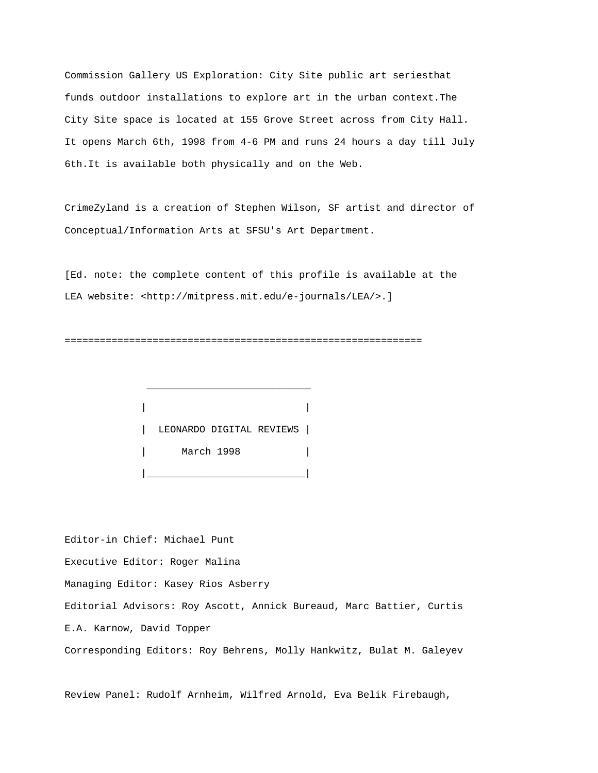Commission Gallery US Exploration: City Site public art seriesthat funds outdoor installations to explore art in the urban context.The City Site space is located at 155 Grove Street across from City Hall. It opens March 6th, 1998 from 4-6 PM and runs 24 hours a day till July 6th.It is available both physically and on the Web.

CrimeZyland is a creation of Stephen Wilson, SF artist and director of Conceptual/Information Arts at SFSU's Art Department.

[Ed. note: the complete content of this profile is available at the LEA website: <http://mitpress.mit.edu/e-journals/LEA/>.]

=============================================================

 | | | LEONARDO DIGITAL REVIEWS | | March 1998 | |\_\_\_\_\_\_\_\_\_\_\_\_\_\_\_\_\_\_\_\_\_\_\_\_\_\_\_|

 $\frac{1}{2}$  ,  $\frac{1}{2}$  ,  $\frac{1}{2}$  ,  $\frac{1}{2}$  ,  $\frac{1}{2}$  ,  $\frac{1}{2}$  ,  $\frac{1}{2}$  ,  $\frac{1}{2}$  ,  $\frac{1}{2}$  ,  $\frac{1}{2}$  ,  $\frac{1}{2}$  ,  $\frac{1}{2}$  ,  $\frac{1}{2}$  ,  $\frac{1}{2}$  ,  $\frac{1}{2}$  ,  $\frac{1}{2}$  ,  $\frac{1}{2}$  ,  $\frac{1}{2}$  ,  $\frac{1$ 

Editor-in Chief: Michael Punt Executive Editor: Roger Malina Managing Editor: Kasey Rios Asberry Editorial Advisors: Roy Ascott, Annick Bureaud, Marc Battier, Curtis E.A. Karnow, David Topper Corresponding Editors: Roy Behrens, Molly Hankwitz, Bulat M. Galeyev

Review Panel: Rudolf Arnheim, Wilfred Arnold, Eva Belik Firebaugh,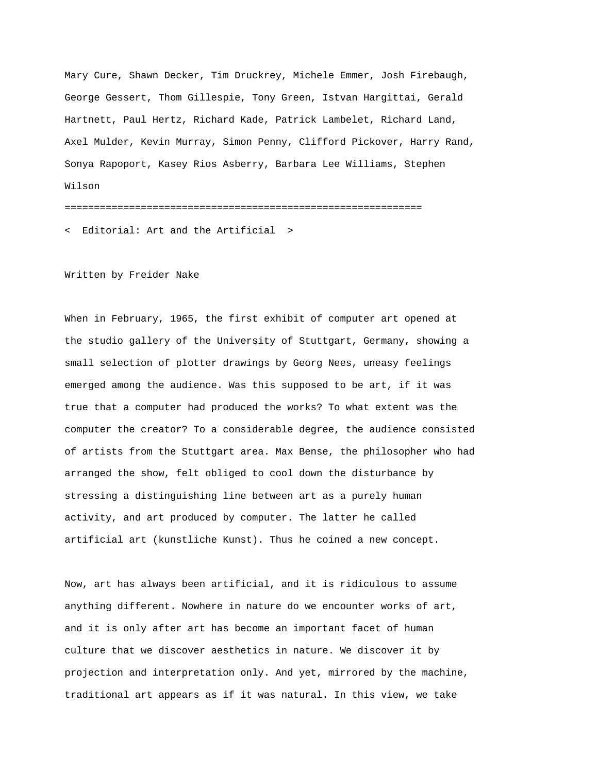Mary Cure, Shawn Decker, Tim Druckrey, Michele Emmer, Josh Firebaugh, George Gessert, Thom Gillespie, Tony Green, Istvan Hargittai, Gerald Hartnett, Paul Hertz, Richard Kade, Patrick Lambelet, Richard Land, Axel Mulder, Kevin Murray, Simon Penny, Clifford Pickover, Harry Rand, Sonya Rapoport, Kasey Rios Asberry, Barbara Lee Williams, Stephen Wilson =============================================================

< Editorial: Art and the Artificial >

Written by Freider Nake

When in February, 1965, the first exhibit of computer art opened at the studio gallery of the University of Stuttgart, Germany, showing a small selection of plotter drawings by Georg Nees, uneasy feelings emerged among the audience. Was this supposed to be art, if it was true that a computer had produced the works? To what extent was the computer the creator? To a considerable degree, the audience consisted of artists from the Stuttgart area. Max Bense, the philosopher who had arranged the show, felt obliged to cool down the disturbance by stressing a distinguishing line between art as a purely human activity, and art produced by computer. The latter he called artificial art (kunstliche Kunst). Thus he coined a new concept.

Now, art has always been artificial, and it is ridiculous to assume anything different. Nowhere in nature do we encounter works of art, and it is only after art has become an important facet of human culture that we discover aesthetics in nature. We discover it by projection and interpretation only. And yet, mirrored by the machine, traditional art appears as if it was natural. In this view, we take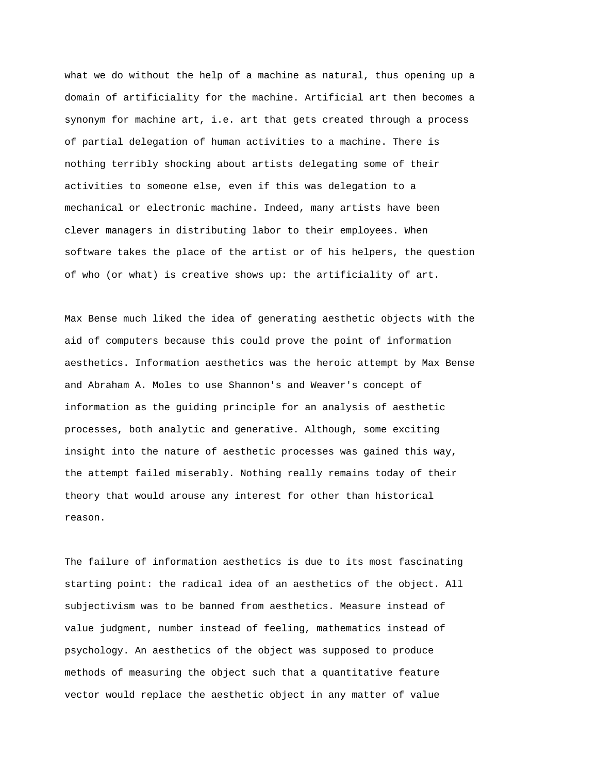what we do without the help of a machine as natural, thus opening up a domain of artificiality for the machine. Artificial art then becomes a synonym for machine art, i.e. art that gets created through a process of partial delegation of human activities to a machine. There is nothing terribly shocking about artists delegating some of their activities to someone else, even if this was delegation to a mechanical or electronic machine. Indeed, many artists have been clever managers in distributing labor to their employees. When software takes the place of the artist or of his helpers, the question of who (or what) is creative shows up: the artificiality of art.

Max Bense much liked the idea of generating aesthetic objects with the aid of computers because this could prove the point of information aesthetics. Information aesthetics was the heroic attempt by Max Bense and Abraham A. Moles to use Shannon's and Weaver's concept of information as the guiding principle for an analysis of aesthetic processes, both analytic and generative. Although, some exciting insight into the nature of aesthetic processes was gained this way, the attempt failed miserably. Nothing really remains today of their theory that would arouse any interest for other than historical reason.

The failure of information aesthetics is due to its most fascinating starting point: the radical idea of an aesthetics of the object. All subjectivism was to be banned from aesthetics. Measure instead of value judgment, number instead of feeling, mathematics instead of psychology. An aesthetics of the object was supposed to produce methods of measuring the object such that a quantitative feature vector would replace the aesthetic object in any matter of value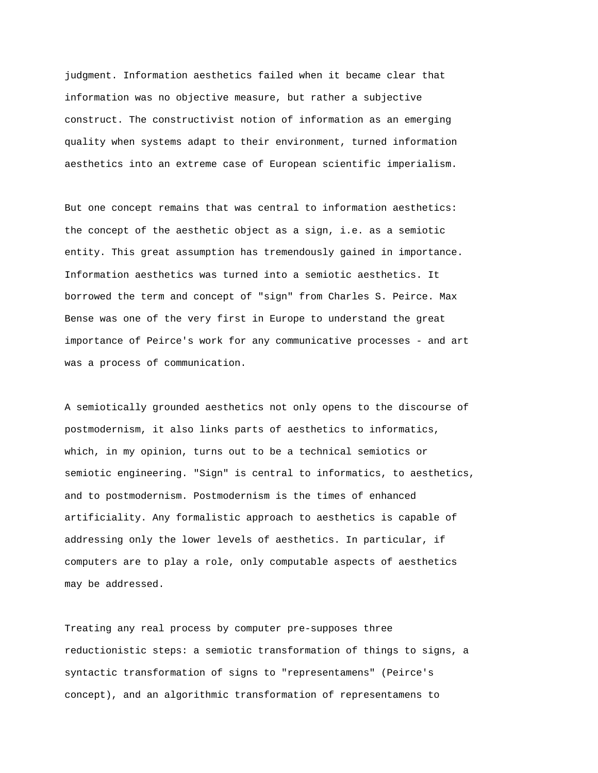judgment. Information aesthetics failed when it became clear that information was no objective measure, but rather a subjective construct. The constructivist notion of information as an emerging quality when systems adapt to their environment, turned information aesthetics into an extreme case of European scientific imperialism.

But one concept remains that was central to information aesthetics: the concept of the aesthetic object as a sign, i.e. as a semiotic entity. This great assumption has tremendously gained in importance. Information aesthetics was turned into a semiotic aesthetics. It borrowed the term and concept of "sign" from Charles S. Peirce. Max Bense was one of the very first in Europe to understand the great importance of Peirce's work for any communicative processes - and art was a process of communication.

A semiotically grounded aesthetics not only opens to the discourse of postmodernism, it also links parts of aesthetics to informatics, which, in my opinion, turns out to be a technical semiotics or semiotic engineering. "Sign" is central to informatics, to aesthetics, and to postmodernism. Postmodernism is the times of enhanced artificiality. Any formalistic approach to aesthetics is capable of addressing only the lower levels of aesthetics. In particular, if computers are to play a role, only computable aspects of aesthetics may be addressed.

Treating any real process by computer pre-supposes three reductionistic steps: a semiotic transformation of things to signs, a syntactic transformation of signs to "representamens" (Peirce's concept), and an algorithmic transformation of representamens to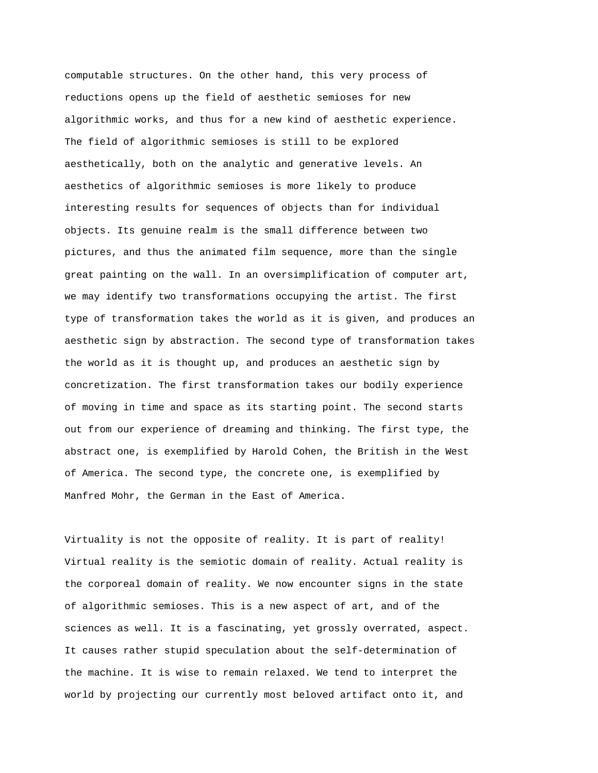computable structures. On the other hand, this very process of reductions opens up the field of aesthetic semioses for new algorithmic works, and thus for a new kind of aesthetic experience. The field of algorithmic semioses is still to be explored aesthetically, both on the analytic and generative levels. An aesthetics of algorithmic semioses is more likely to produce interesting results for sequences of objects than for individual objects. Its genuine realm is the small difference between two pictures, and thus the animated film sequence, more than the single great painting on the wall. In an oversimplification of computer art, we may identify two transformations occupying the artist. The first type of transformation takes the world as it is given, and produces an aesthetic sign by abstraction. The second type of transformation takes the world as it is thought up, and produces an aesthetic sign by concretization. The first transformation takes our bodily experience of moving in time and space as its starting point. The second starts out from our experience of dreaming and thinking. The first type, the abstract one, is exemplified by Harold Cohen, the British in the West of America. The second type, the concrete one, is exemplified by Manfred Mohr, the German in the East of America.

Virtuality is not the opposite of reality. It is part of reality! Virtual reality is the semiotic domain of reality. Actual reality is the corporeal domain of reality. We now encounter signs in the state of algorithmic semioses. This is a new aspect of art, and of the sciences as well. It is a fascinating, yet grossly overrated, aspect. It causes rather stupid speculation about the self-determination of the machine. It is wise to remain relaxed. We tend to interpret the world by projecting our currently most beloved artifact onto it, and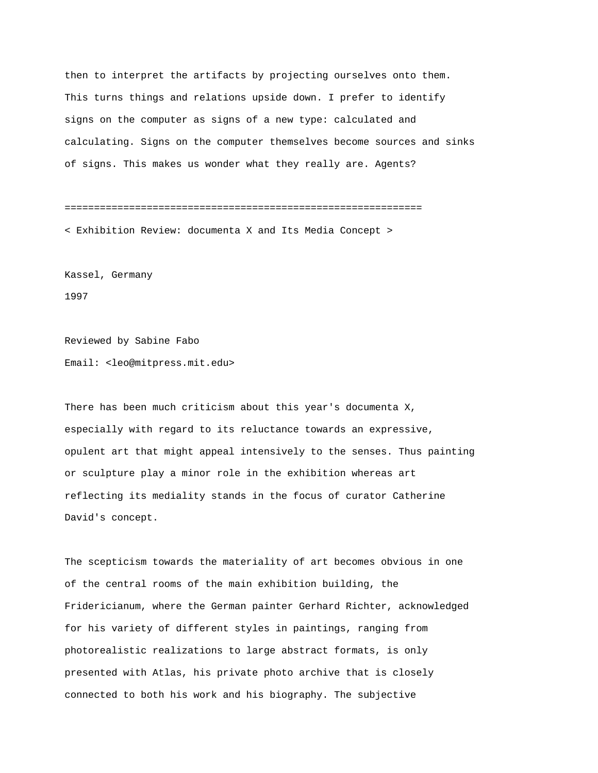then to interpret the artifacts by projecting ourselves onto them. This turns things and relations upside down. I prefer to identify signs on the computer as signs of a new type: calculated and calculating. Signs on the computer themselves become sources and sinks of signs. This makes us wonder what they really are. Agents?

============================================================= < Exhibition Review: documenta X and Its Media Concept >

Kassel, Germany 1997

Reviewed by Sabine Fabo Email: <leo@mitpress.mit.edu>

There has been much criticism about this year's documenta X, especially with regard to its reluctance towards an expressive, opulent art that might appeal intensively to the senses. Thus painting or sculpture play a minor role in the exhibition whereas art reflecting its mediality stands in the focus of curator Catherine David's concept.

The scepticism towards the materiality of art becomes obvious in one of the central rooms of the main exhibition building, the Fridericianum, where the German painter Gerhard Richter, acknowledged for his variety of different styles in paintings, ranging from photorealistic realizations to large abstract formats, is only presented with Atlas, his private photo archive that is closely connected to both his work and his biography. The subjective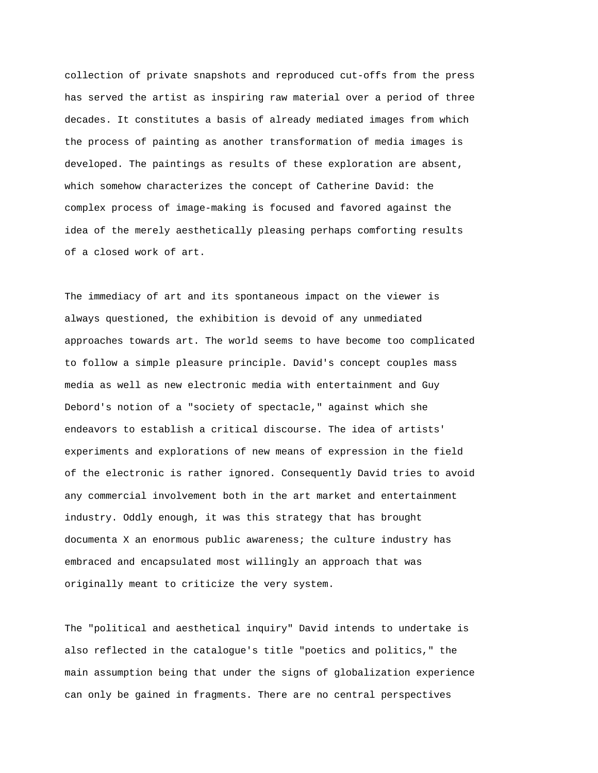collection of private snapshots and reproduced cut-offs from the press has served the artist as inspiring raw material over a period of three decades. It constitutes a basis of already mediated images from which the process of painting as another transformation of media images is developed. The paintings as results of these exploration are absent, which somehow characterizes the concept of Catherine David: the complex process of image-making is focused and favored against the idea of the merely aesthetically pleasing perhaps comforting results of a closed work of art.

The immediacy of art and its spontaneous impact on the viewer is always questioned, the exhibition is devoid of any unmediated approaches towards art. The world seems to have become too complicated to follow a simple pleasure principle. David's concept couples mass media as well as new electronic media with entertainment and Guy Debord's notion of a "society of spectacle," against which she endeavors to establish a critical discourse. The idea of artists' experiments and explorations of new means of expression in the field of the electronic is rather ignored. Consequently David tries to avoid any commercial involvement both in the art market and entertainment industry. Oddly enough, it was this strategy that has brought documenta X an enormous public awareness; the culture industry has embraced and encapsulated most willingly an approach that was originally meant to criticize the very system.

The "political and aesthetical inquiry" David intends to undertake is also reflected in the catalogue's title "poetics and politics," the main assumption being that under the signs of globalization experience can only be gained in fragments. There are no central perspectives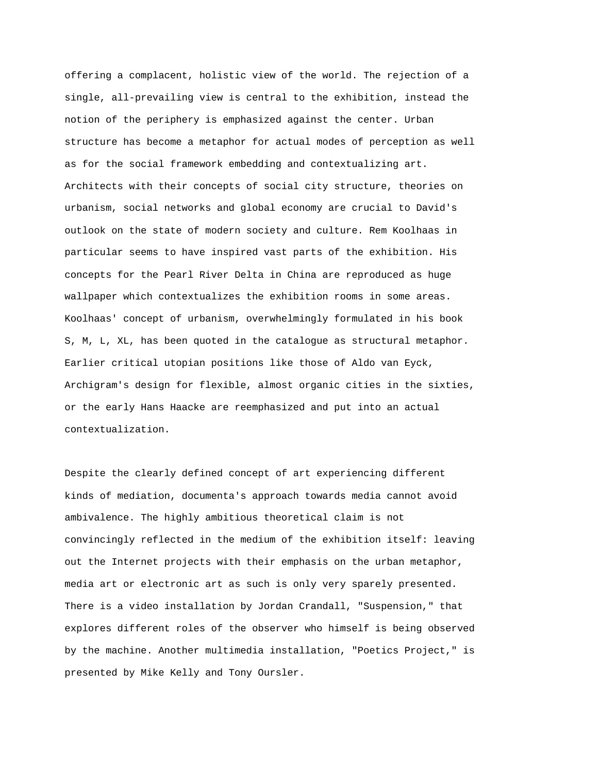offering a complacent, holistic view of the world. The rejection of a single, all-prevailing view is central to the exhibition, instead the notion of the periphery is emphasized against the center. Urban structure has become a metaphor for actual modes of perception as well as for the social framework embedding and contextualizing art. Architects with their concepts of social city structure, theories on urbanism, social networks and global economy are crucial to David's outlook on the state of modern society and culture. Rem Koolhaas in particular seems to have inspired vast parts of the exhibition. His concepts for the Pearl River Delta in China are reproduced as huge wallpaper which contextualizes the exhibition rooms in some areas. Koolhaas' concept of urbanism, overwhelmingly formulated in his book S, M, L, XL, has been quoted in the catalogue as structural metaphor. Earlier critical utopian positions like those of Aldo van Eyck, Archigram's design for flexible, almost organic cities in the sixties, or the early Hans Haacke are reemphasized and put into an actual contextualization.

Despite the clearly defined concept of art experiencing different kinds of mediation, documenta's approach towards media cannot avoid ambivalence. The highly ambitious theoretical claim is not convincingly reflected in the medium of the exhibition itself: leaving out the Internet projects with their emphasis on the urban metaphor, media art or electronic art as such is only very sparely presented. There is a video installation by Jordan Crandall, "Suspension," that explores different roles of the observer who himself is being observed by the machine. Another multimedia installation, "Poetics Project," is presented by Mike Kelly and Tony Oursler.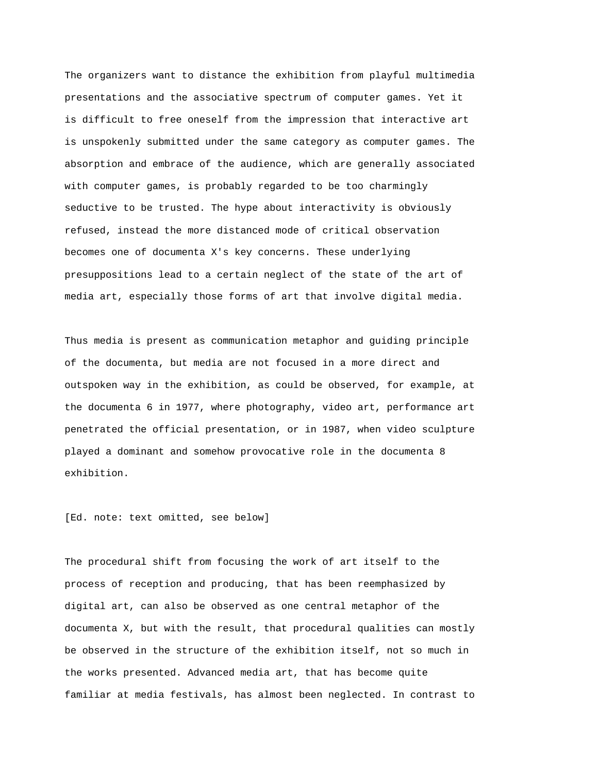The organizers want to distance the exhibition from playful multimedia presentations and the associative spectrum of computer games. Yet it is difficult to free oneself from the impression that interactive art is unspokenly submitted under the same category as computer games. The absorption and embrace of the audience, which are generally associated with computer games, is probably regarded to be too charmingly seductive to be trusted. The hype about interactivity is obviously refused, instead the more distanced mode of critical observation becomes one of documenta X's key concerns. These underlying presuppositions lead to a certain neglect of the state of the art of media art, especially those forms of art that involve digital media.

Thus media is present as communication metaphor and guiding principle of the documenta, but media are not focused in a more direct and outspoken way in the exhibition, as could be observed, for example, at the documenta 6 in 1977, where photography, video art, performance art penetrated the official presentation, or in 1987, when video sculpture played a dominant and somehow provocative role in the documenta 8 exhibition.

[Ed. note: text omitted, see below]

The procedural shift from focusing the work of art itself to the process of reception and producing, that has been reemphasized by digital art, can also be observed as one central metaphor of the documenta X, but with the result, that procedural qualities can mostly be observed in the structure of the exhibition itself, not so much in the works presented. Advanced media art, that has become quite familiar at media festivals, has almost been neglected. In contrast to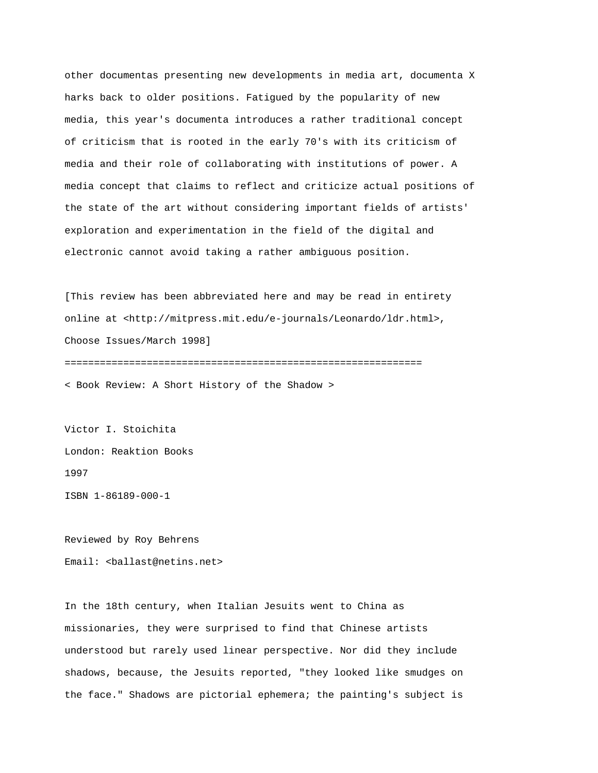other documentas presenting new developments in media art, documenta X harks back to older positions. Fatigued by the popularity of new media, this year's documenta introduces a rather traditional concept of criticism that is rooted in the early 70's with its criticism of media and their role of collaborating with institutions of power. A media concept that claims to reflect and criticize actual positions of the state of the art without considering important fields of artists' exploration and experimentation in the field of the digital and electronic cannot avoid taking a rather ambiguous position.

[This review has been abbreviated here and may be read in entirety online at <http://mitpress.mit.edu/e-journals/Leonardo/ldr.html>, Choose Issues/March 1998] =============================================================

< Book Review: A Short History of the Shadow >

Victor I. Stoichita London: Reaktion Books 1997 ISBN 1-86189-000-1

Reviewed by Roy Behrens Email: <ballast@netins.net>

In the 18th century, when Italian Jesuits went to China as missionaries, they were surprised to find that Chinese artists understood but rarely used linear perspective. Nor did they include shadows, because, the Jesuits reported, "they looked like smudges on the face." Shadows are pictorial ephemera; the painting's subject is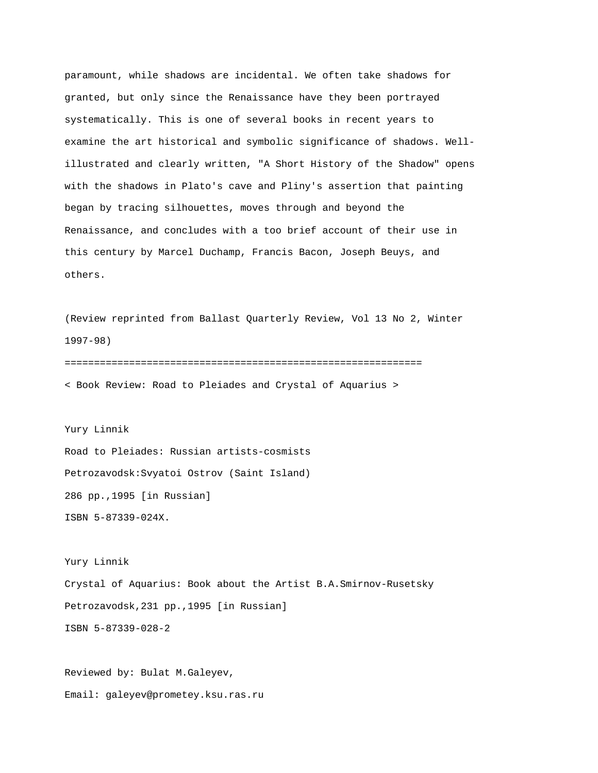paramount, while shadows are incidental. We often take shadows for granted, but only since the Renaissance have they been portrayed systematically. This is one of several books in recent years to examine the art historical and symbolic significance of shadows. Wellillustrated and clearly written, "A Short History of the Shadow" opens with the shadows in Plato's cave and Pliny's assertion that painting began by tracing silhouettes, moves through and beyond the Renaissance, and concludes with a too brief account of their use in this century by Marcel Duchamp, Francis Bacon, Joseph Beuys, and others.

(Review reprinted from Ballast Quarterly Review, Vol 13 No 2, Winter 1997-98)

============================================================= < Book Review: Road to Pleiades and Crystal of Aquarius >

Yury Linnik Road to Pleiades: Russian artists-cosmists Petrozavodsk:Svyatoi Ostrov (Saint Island) 286 pp.,1995 [in Russian] ISBN 5-87339-024X.

Yury Linnik Crystal of Aquarius: Book about the Artist B.A.Smirnov-Rusetsky Petrozavodsk,231 pp.,1995 [in Russian] ISBN 5-87339-028-2

Reviewed by: Bulat M.Galeyev, Email: galeyev@prometey.ksu.ras.ru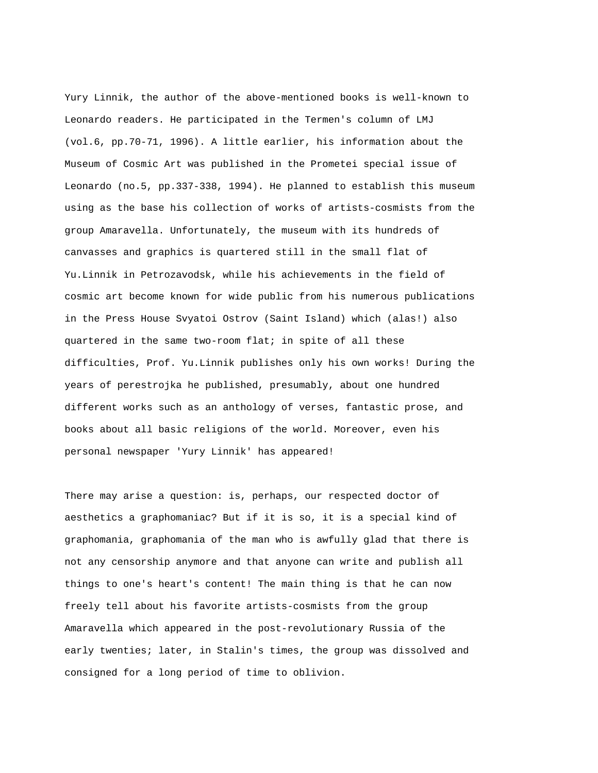Yury Linnik, the author of the above-mentioned books is well-known to Leonardo readers. He participated in the Termen's column of LMJ (vol.6, pp.70-71, 1996). A little earlier, his information about the Museum of Cosmic Art was published in the Prometei special issue of Leonardo (no.5, pp.337-338, 1994). He planned to establish this museum using as the base his collection of works of artists-cosmists from the group Amaravella. Unfortunately, the museum with its hundreds of canvasses and graphics is quartered still in the small flat of Yu.Linnik in Petrozavodsk, while his achievements in the field of cosmic art become known for wide public from his numerous publications in the Press House Svyatoi Ostrov (Saint Island) which (alas!) also quartered in the same two-room flat; in spite of all these difficulties, Prof. Yu.Linnik publishes only his own works! During the years of perestrojka he published, presumably, about one hundred different works such as an anthology of verses, fantastic prose, and books about all basic religions of the world. Moreover, even his personal newspaper 'Yury Linnik' has appeared!

There may arise a question: is, perhaps, our respected doctor of aesthetics a graphomaniac? But if it is so, it is a special kind of graphomania, graphomania of the man who is awfully glad that there is not any censorship anymore and that anyone can write and publish all things to one's heart's content! The main thing is that he can now freely tell about his favorite artists-cosmists from the group Amaravella which appeared in the post-revolutionary Russia of the early twenties; later, in Stalin's times, the group was dissolved and consigned for a long period of time to oblivion.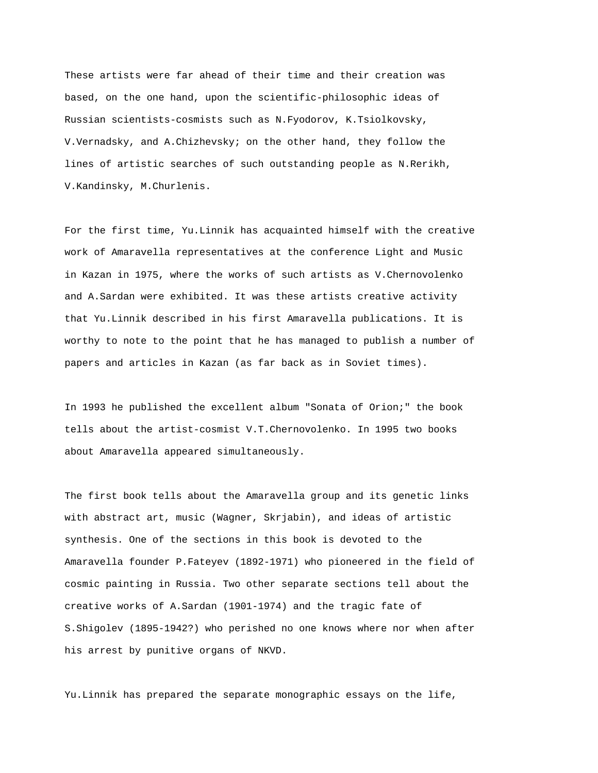These artists were far ahead of their time and their creation was based, on the one hand, upon the scientific-philosophic ideas of Russian scientists-cosmists such as N.Fyodorov, K.Tsiolkovsky, V.Vernadsky, and A.Chizhevsky; on the other hand, they follow the lines of artistic searches of such outstanding people as N.Rerikh, V.Kandinsky, M.Churlenis.

For the first time, Yu.Linnik has acquainted himself with the creative work of Amaravella representatives at the conference Light and Music in Kazan in 1975, where the works of such artists as V.Chernovolenko and A.Sardan were exhibited. It was these artists creative activity that Yu.Linnik described in his first Amaravella publications. It is worthy to note to the point that he has managed to publish a number of papers and articles in Kazan (as far back as in Soviet times).

In 1993 he published the excellent album "Sonata of Orion;" the book tells about the artist-cosmist V.T.Chernovolenko. In 1995 two books about Amaravella appeared simultaneously.

The first book tells about the Amaravella group and its genetic links with abstract art, music (Wagner, Skrjabin), and ideas of artistic synthesis. One of the sections in this book is devoted to the Amaravella founder P.Fateyev (1892-1971) who pioneered in the field of cosmic painting in Russia. Two other separate sections tell about the creative works of A.Sardan (1901-1974) and the tragic fate of S.Shigolev (1895-1942?) who perished no one knows where nor when after his arrest by punitive organs of NKVD.

Yu.Linnik has prepared the separate monographic essays on the life,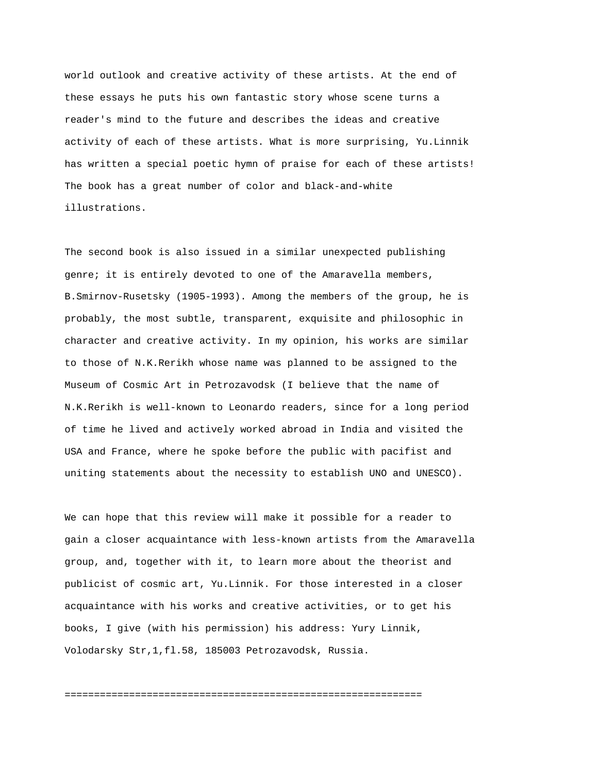world outlook and creative activity of these artists. At the end of these essays he puts his own fantastic story whose scene turns a reader's mind to the future and describes the ideas and creative activity of each of these artists. What is more surprising, Yu.Linnik has written a special poetic hymn of praise for each of these artists! The book has a great number of color and black-and-white illustrations.

The second book is also issued in a similar unexpected publishing genre; it is entirely devoted to one of the Amaravella members, B.Smirnov-Rusetsky (1905-1993). Among the members of the group, he is probably, the most subtle, transparent, exquisite and philosophic in character and creative activity. In my opinion, his works are similar to those of N.K.Rerikh whose name was planned to be assigned to the Museum of Cosmic Art in Petrozavodsk (I believe that the name of N.K.Rerikh is well-known to Leonardo readers, since for a long period of time he lived and actively worked abroad in India and visited the USA and France, where he spoke before the public with pacifist and uniting statements about the necessity to establish UNO and UNESCO).

We can hope that this review will make it possible for a reader to gain a closer acquaintance with less-known artists from the Amaravella group, and, together with it, to learn more about the theorist and publicist of cosmic art, Yu.Linnik. For those interested in a closer acquaintance with his works and creative activities, or to get his books, I give (with his permission) his address: Yury Linnik, Volodarsky Str,1,fl.58, 185003 Petrozavodsk, Russia.

=============================================================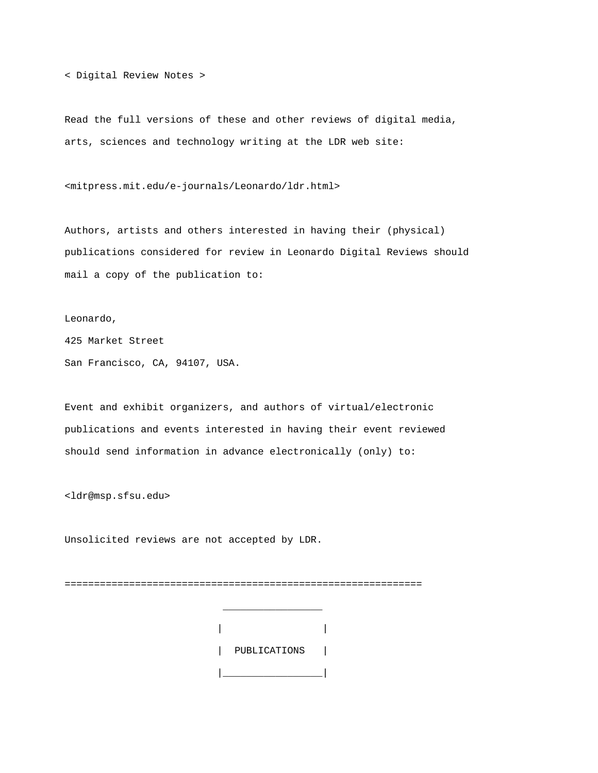< Digital Review Notes >

Read the full versions of these and other reviews of digital media, arts, sciences and technology writing at the LDR web site:

<mitpress.mit.edu/e-journals/Leonardo/ldr.html>

Authors, artists and others interested in having their (physical) publications considered for review in Leonardo Digital Reviews should mail a copy of the publication to:

Leonardo,

425 Market Street San Francisco, CA, 94107, USA.

Event and exhibit organizers, and authors of virtual/electronic publications and events interested in having their event reviewed should send information in advance electronically (only) to:

<ldr@msp.sfsu.edu>

Unsolicited reviews are not accepted by LDR.

\_\_\_\_\_\_\_\_\_\_\_\_\_\_\_\_\_

=============================================================

|  | PUBLICATIONS |  |
|--|--------------|--|
|  |              |  |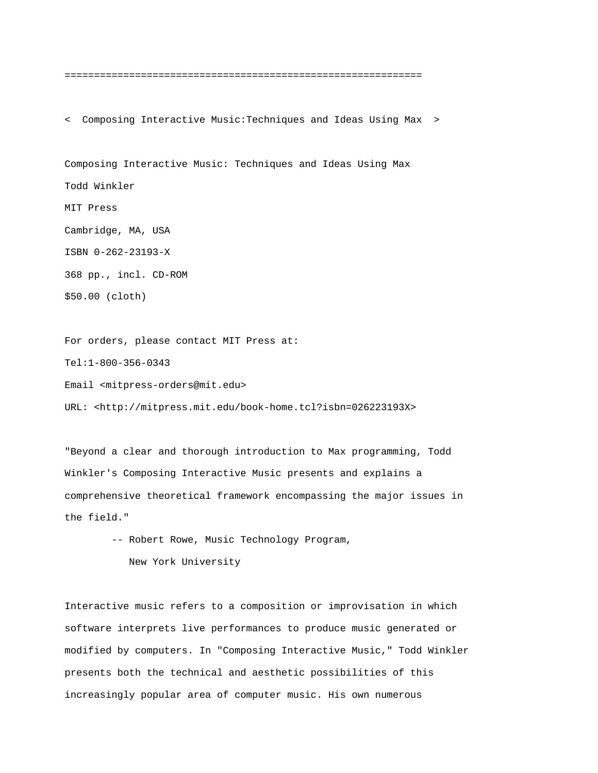=============================================================

< Composing Interactive Music:Techniques and Ideas Using Max >

Composing Interactive Music: Techniques and Ideas Using Max Todd Winkler MIT Press Cambridge, MA, USA ISBN 0-262-23193-X 368 pp., incl. CD-ROM \$50.00 (cloth)

For orders, please contact MIT Press at:

Tel:1-800-356-0343

Email <mitpress-orders@mit.edu>

URL: <http://mitpress.mit.edu/book-home.tcl?isbn=026223193X>

"Beyond a clear and thorough introduction to Max programming, Todd Winkler's Composing Interactive Music presents and explains a comprehensive theoretical framework encompassing the major issues in the field."

> -- Robert Rowe, Music Technology Program, New York University

Interactive music refers to a composition or improvisation in which software interprets live performances to produce music generated or modified by computers. In "Composing Interactive Music," Todd Winkler presents both the technical and aesthetic possibilities of this increasingly popular area of computer music. His own numerous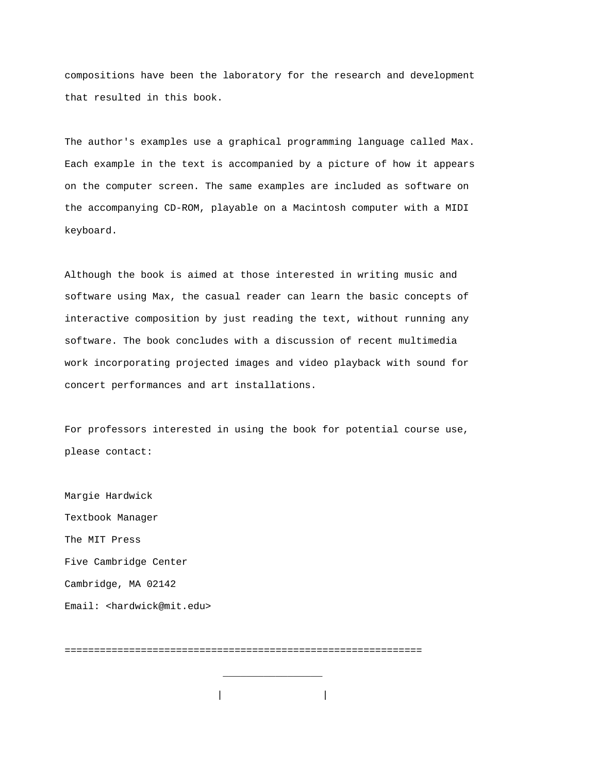compositions have been the laboratory for the research and development that resulted in this book.

The author's examples use a graphical programming language called Max. Each example in the text is accompanied by a picture of how it appears on the computer screen. The same examples are included as software on the accompanying CD-ROM, playable on a Macintosh computer with a MIDI keyboard.

Although the book is aimed at those interested in writing music and software using Max, the casual reader can learn the basic concepts of interactive composition by just reading the text, without running any software. The book concludes with a discussion of recent multimedia work incorporating projected images and video playback with sound for concert performances and art installations.

For professors interested in using the book for potential course use, please contact:

Margie Hardwick Textbook Manager The MIT Press Five Cambridge Center Cambridge, MA 02142 Email: <hardwick@mit.edu>

=============================================================

\_\_\_\_\_\_\_\_\_\_\_\_\_\_\_\_\_

| |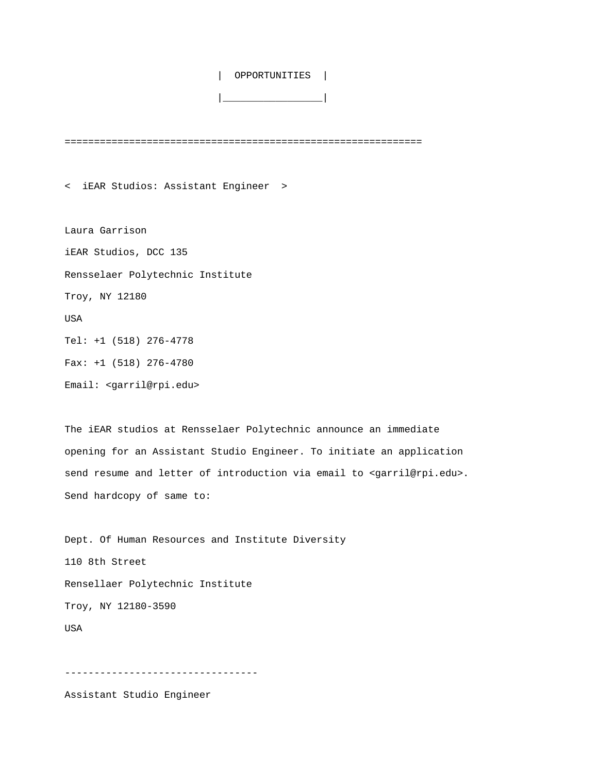| OPPORTUNITIES |

|\_\_\_\_\_\_\_\_\_\_\_\_\_\_\_\_\_|

=============================================================

< iEAR Studios: Assistant Engineer >

Laura Garrison iEAR Studios, DCC 135 Rensselaer Polytechnic Institute Troy, NY 12180 USA Tel: +1 (518) 276-4778 Fax: +1 (518) 276-4780

Email: <garril@rpi.edu>

The iEAR studios at Rensselaer Polytechnic announce an immediate opening for an Assistant Studio Engineer. To initiate an application send resume and letter of introduction via email to <garril@rpi.edu>. Send hardcopy of same to:

Dept. Of Human Resources and Institute Diversity 110 8th Street Rensellaer Polytechnic Institute Troy, NY 12180-3590 USA

---------------------------------

Assistant Studio Engineer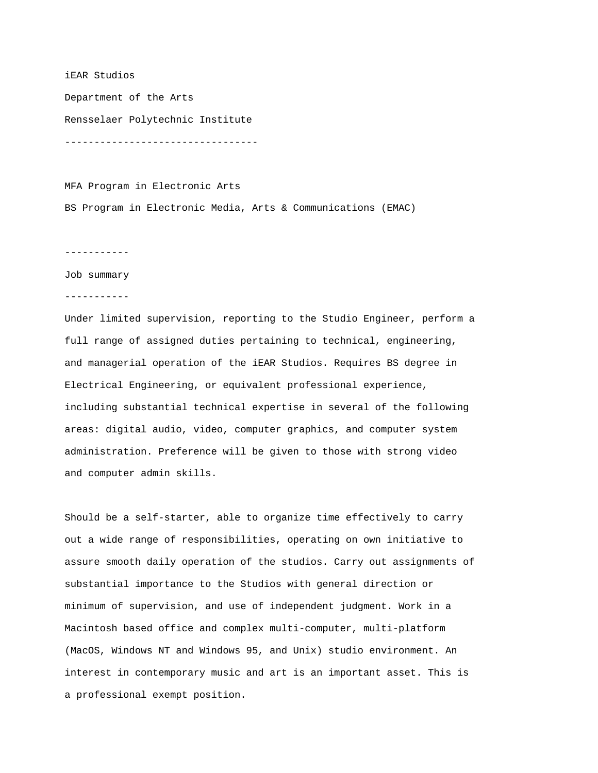### iEAR Studios

Department of the Arts Rensselaer Polytechnic Institute ---------------------------------

MFA Program in Electronic Arts BS Program in Electronic Media, Arts & Communications (EMAC)

-----------

Job summary

-----------

Under limited supervision, reporting to the Studio Engineer, perform a full range of assigned duties pertaining to technical, engineering, and managerial operation of the iEAR Studios. Requires BS degree in Electrical Engineering, or equivalent professional experience, including substantial technical expertise in several of the following areas: digital audio, video, computer graphics, and computer system administration. Preference will be given to those with strong video and computer admin skills.

Should be a self-starter, able to organize time effectively to carry out a wide range of responsibilities, operating on own initiative to assure smooth daily operation of the studios. Carry out assignments of substantial importance to the Studios with general direction or minimum of supervision, and use of independent judgment. Work in a Macintosh based office and complex multi-computer, multi-platform (MacOS, Windows NT and Windows 95, and Unix) studio environment. An interest in contemporary music and art is an important asset. This is a professional exempt position.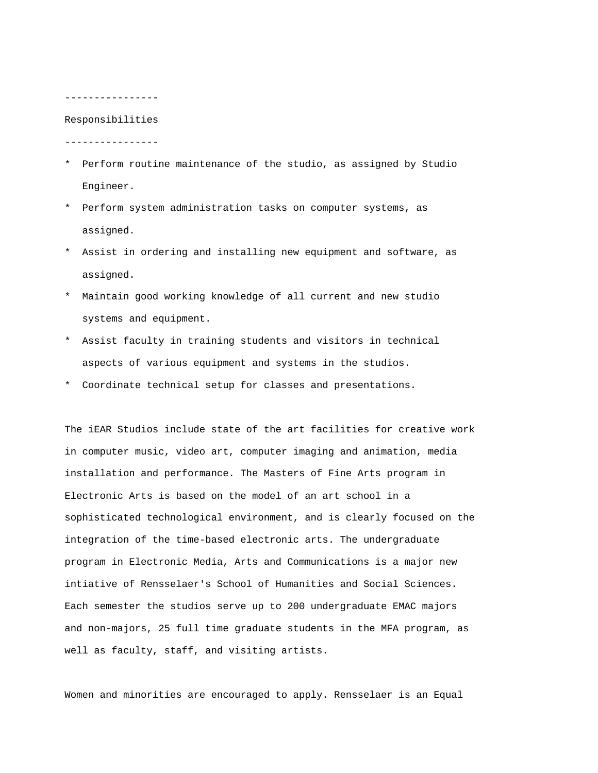#### ----------------

### Responsibilities

----------------

- \* Perform routine maintenance of the studio, as assigned by Studio Engineer.
- \* Perform system administration tasks on computer systems, as assigned.
- \* Assist in ordering and installing new equipment and software, as assigned.
- \* Maintain good working knowledge of all current and new studio systems and equipment.
- \* Assist faculty in training students and visitors in technical aspects of various equipment and systems in the studios.
- \* Coordinate technical setup for classes and presentations.

The iEAR Studios include state of the art facilities for creative work in computer music, video art, computer imaging and animation, media installation and performance. The Masters of Fine Arts program in Electronic Arts is based on the model of an art school in a sophisticated technological environment, and is clearly focused on the integration of the time-based electronic arts. The undergraduate program in Electronic Media, Arts and Communications is a major new intiative of Rensselaer's School of Humanities and Social Sciences. Each semester the studios serve up to 200 undergraduate EMAC majors and non-majors, 25 full time graduate students in the MFA program, as well as faculty, staff, and visiting artists.

Women and minorities are encouraged to apply. Rensselaer is an Equal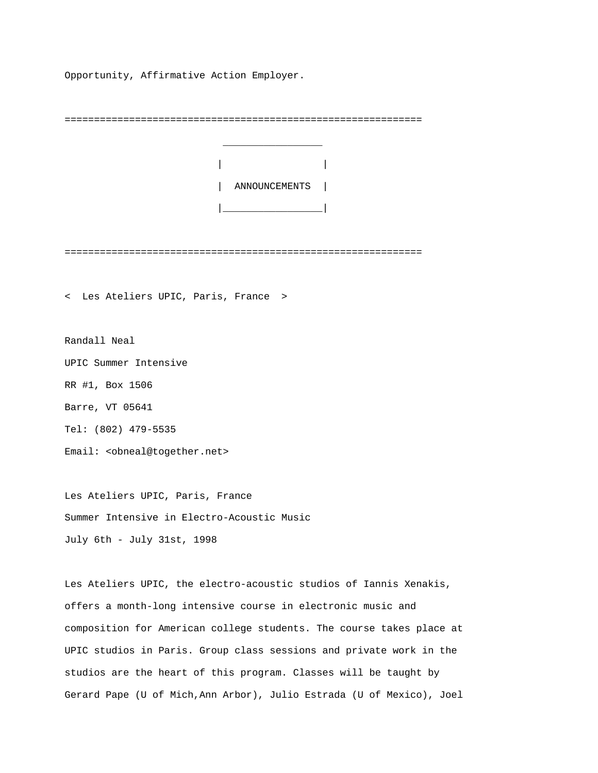Opportunity, Affirmative Action Employer.

=============================================================



=============================================================

< Les Ateliers UPIC, Paris, France >

Randall Neal

UPIC Summer Intensive

RR #1, Box 1506

Barre, VT 05641

Tel: (802) 479-5535

Email: <obneal@together.net>

Les Ateliers UPIC, Paris, France Summer Intensive in Electro-Acoustic Music July 6th - July 31st, 1998

Les Ateliers UPIC, the electro-acoustic studios of Iannis Xenakis, offers a month-long intensive course in electronic music and composition for American college students. The course takes place at UPIC studios in Paris. Group class sessions and private work in the studios are the heart of this program. Classes will be taught by Gerard Pape (U of Mich,Ann Arbor), Julio Estrada (U of Mexico), Joel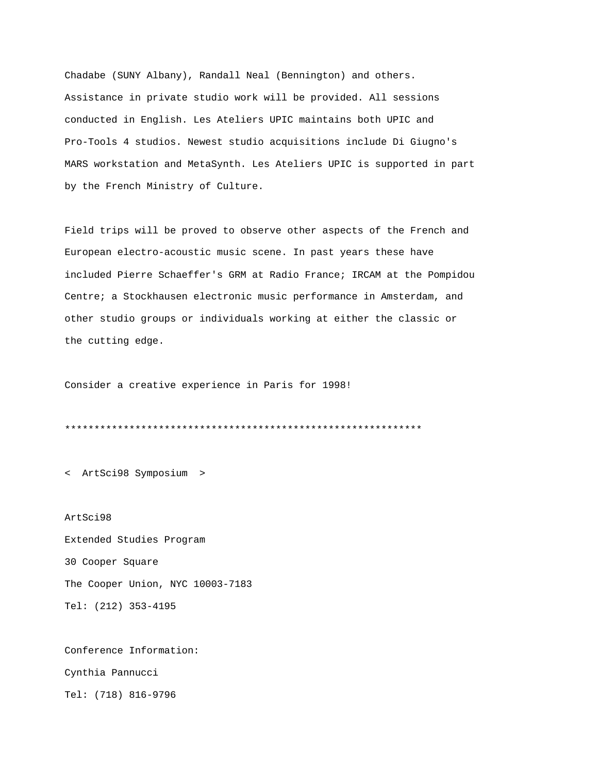Chadabe (SUNY Albany), Randall Neal (Bennington) and others. Assistance in private studio work will be provided. All sessions conducted in English. Les Ateliers UPIC maintains both UPIC and Pro-Tools 4 studios. Newest studio acquisitions include Di Giugno's MARS workstation and MetaSynth. Les Ateliers UPIC is supported in part by the French Ministry of Culture.

Field trips will be proved to observe other aspects of the French and European electro-acoustic music scene. In past years these have included Pierre Schaeffer's GRM at Radio France; IRCAM at the Pompidou Centre; a Stockhausen electronic music performance in Amsterdam, and other studio groups or individuals working at either the classic or the cutting edge.

Consider a creative experience in Paris for 1998!

\*\*\*\*\*\*\*\*\*\*\*\*\*\*\*\*\*\*\*\*\*\*\*\*\*\*\*\*\*\*\*\*\*\*\*\*\*\*\*\*\*\*\*\*\*\*\*\*\*\*\*\*\*\*\*\*\*\*\*\*\*

< ArtSci98 Symposium >

ArtSci98 Extended Studies Program 30 Cooper Square The Cooper Union, NYC 10003-7183 Tel: (212) 353-4195

Conference Information:

Cynthia Pannucci

Tel: (718) 816-9796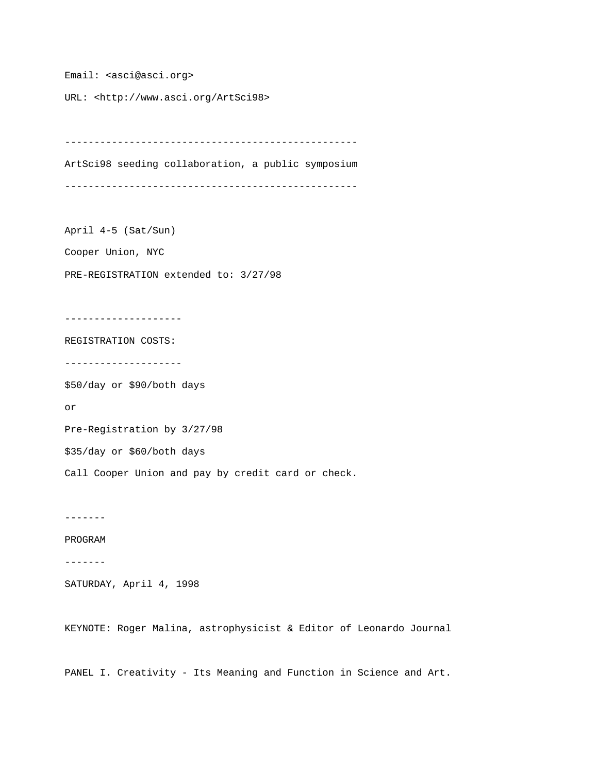Email: <asci@asci.org>

URL: <http://www.asci.org/ArtSci98>

-------------------------------------------------- ArtSci98 seeding collaboration, a public symposium --------------------------------------------------

April 4-5 (Sat/Sun)

Cooper Union, NYC

PRE-REGISTRATION extended to: 3/27/98

--------------------

REGISTRATION COSTS:

--------------------

\$50/day or \$90/both days

or

Pre-Registration by 3/27/98

\$35/day or \$60/both days

Call Cooper Union and pay by credit card or check.

-------

PROGRAM

-------

SATURDAY, April 4, 1998

KEYNOTE: Roger Malina, astrophysicist & Editor of Leonardo Journal

PANEL I. Creativity - Its Meaning and Function in Science and Art.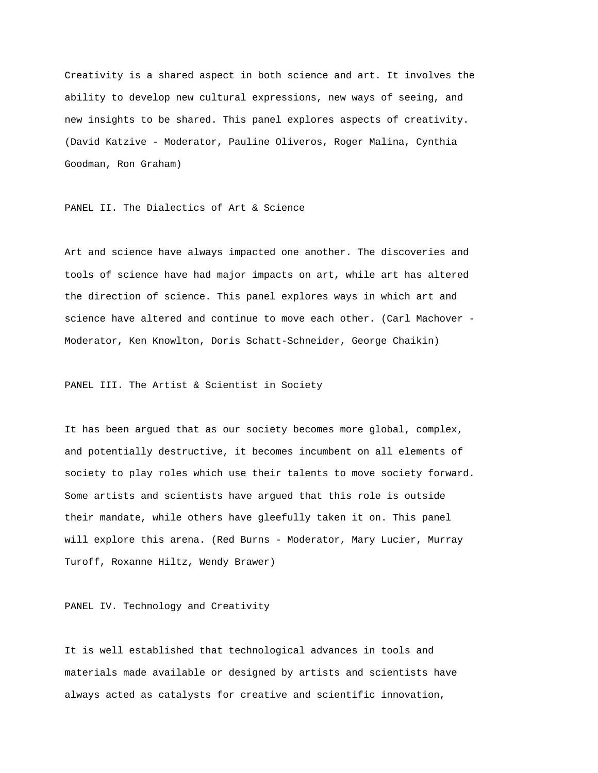Creativity is a shared aspect in both science and art. It involves the ability to develop new cultural expressions, new ways of seeing, and new insights to be shared. This panel explores aspects of creativity. (David Katzive - Moderator, Pauline Oliveros, Roger Malina, Cynthia Goodman, Ron Graham)

PANEL II. The Dialectics of Art & Science

Art and science have always impacted one another. The discoveries and tools of science have had major impacts on art, while art has altered the direction of science. This panel explores ways in which art and science have altered and continue to move each other. (Carl Machover - Moderator, Ken Knowlton, Doris Schatt-Schneider, George Chaikin)

PANEL III. The Artist & Scientist in Society

It has been argued that as our society becomes more global, complex, and potentially destructive, it becomes incumbent on all elements of society to play roles which use their talents to move society forward. Some artists and scientists have argued that this role is outside their mandate, while others have gleefully taken it on. This panel will explore this arena. (Red Burns - Moderator, Mary Lucier, Murray Turoff, Roxanne Hiltz, Wendy Brawer)

PANEL IV. Technology and Creativity

It is well established that technological advances in tools and materials made available or designed by artists and scientists have always acted as catalysts for creative and scientific innovation,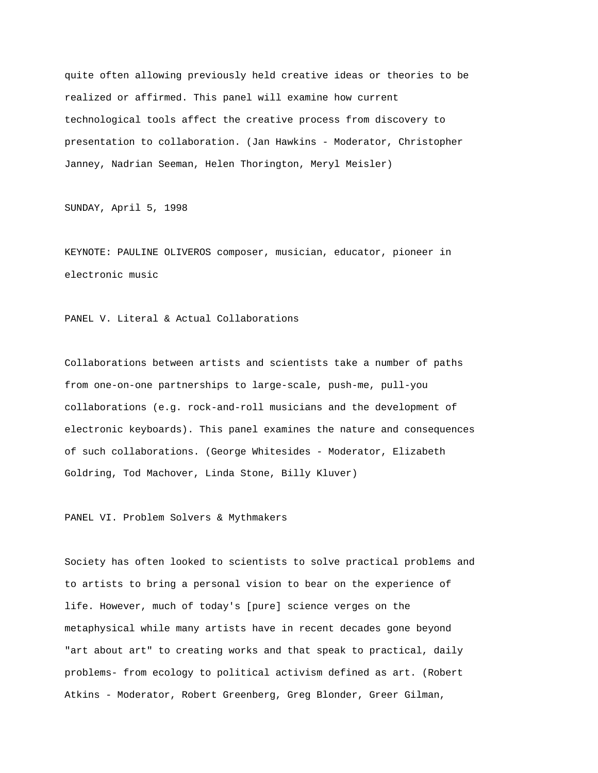quite often allowing previously held creative ideas or theories to be realized or affirmed. This panel will examine how current technological tools affect the creative process from discovery to presentation to collaboration. (Jan Hawkins - Moderator, Christopher Janney, Nadrian Seeman, Helen Thorington, Meryl Meisler)

SUNDAY, April 5, 1998

KEYNOTE: PAULINE OLIVEROS composer, musician, educator, pioneer in electronic music

PANEL V. Literal & Actual Collaborations

Collaborations between artists and scientists take a number of paths from one-on-one partnerships to large-scale, push-me, pull-you collaborations (e.g. rock-and-roll musicians and the development of electronic keyboards). This panel examines the nature and consequences of such collaborations. (George Whitesides - Moderator, Elizabeth Goldring, Tod Machover, Linda Stone, Billy Kluver)

PANEL VI. Problem Solvers & Mythmakers

Society has often looked to scientists to solve practical problems and to artists to bring a personal vision to bear on the experience of life. However, much of today's [pure] science verges on the metaphysical while many artists have in recent decades gone beyond "art about art" to creating works and that speak to practical, daily problems- from ecology to political activism defined as art. (Robert Atkins - Moderator, Robert Greenberg, Greg Blonder, Greer Gilman,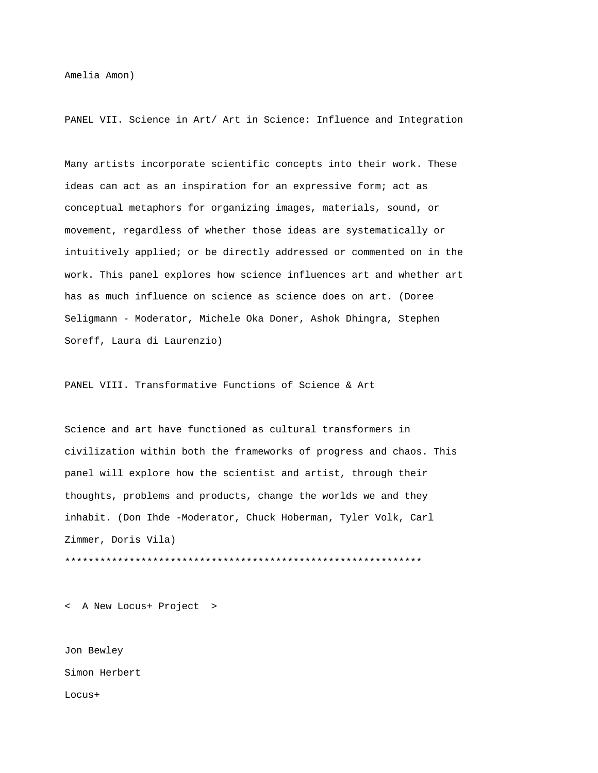Amelia Amon)

PANEL VII. Science in Art/ Art in Science: Influence and Integration

Many artists incorporate scientific concepts into their work. These ideas can act as an inspiration for an expressive form; act as conceptual metaphors for organizing images, materials, sound, or movement, regardless of whether those ideas are systematically or intuitively applied; or be directly addressed or commented on in the work. This panel explores how science influences art and whether art has as much influence on science as science does on art. (Doree Seligmann - Moderator, Michele Oka Doner, Ashok Dhingra, Stephen Soreff, Laura di Laurenzio)

PANEL VIII. Transformative Functions of Science & Art

Science and art have functioned as cultural transformers in civilization within both the frameworks of progress and chaos. This panel will explore how the scientist and artist, through their thoughts, problems and products, change the worlds we and they inhabit. (Don Ihde -Moderator, Chuck Hoberman, Tyler Volk, Carl Zimmer, Doris Vila) \*\*\*\*\*\*\*\*\*\*\*\*\*\*\*\*\*\*\*\*\*\*\*\*\*\*\*\*\*\*\*\*\*\*\*\*\*\*\*\*\*\*\*\*\*\*\*\*\*\*\*\*\*\*\*\*\*\*\*\*\*

< A New Locus+ Project >

Jon Bewley Simon Herbert Locus+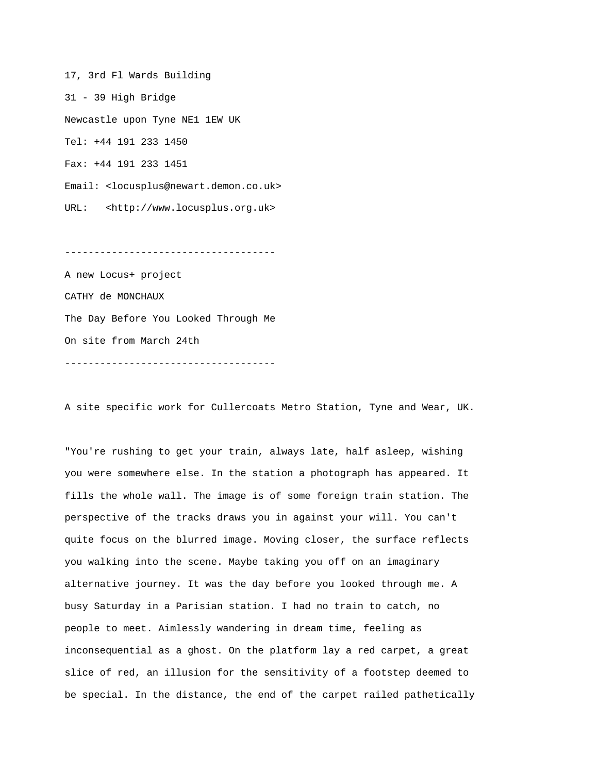17, 3rd Fl Wards Building 31 - 39 High Bridge Newcastle upon Tyne NE1 1EW UK Tel: +44 191 233 1450 Fax: +44 191 233 1451 Email: <locusplus@newart.demon.co.uk> URL: <http://www.locusplus.org.uk>

------------------------------------

A new Locus+ project CATHY de MONCHAUX The Day Before You Looked Through Me On site from March 24th ------------------------------------

A site specific work for Cullercoats Metro Station, Tyne and Wear, UK.

"You're rushing to get your train, always late, half asleep, wishing you were somewhere else. In the station a photograph has appeared. It fills the whole wall. The image is of some foreign train station. The perspective of the tracks draws you in against your will. You can't quite focus on the blurred image. Moving closer, the surface reflects you walking into the scene. Maybe taking you off on an imaginary alternative journey. It was the day before you looked through me. A busy Saturday in a Parisian station. I had no train to catch, no people to meet. Aimlessly wandering in dream time, feeling as inconsequential as a ghost. On the platform lay a red carpet, a great slice of red, an illusion for the sensitivity of a footstep deemed to be special. In the distance, the end of the carpet railed pathetically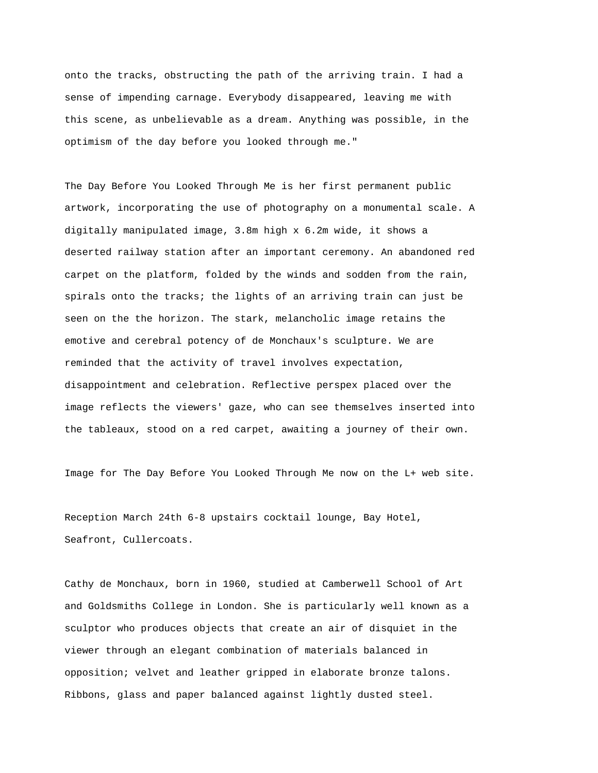onto the tracks, obstructing the path of the arriving train. I had a sense of impending carnage. Everybody disappeared, leaving me with this scene, as unbelievable as a dream. Anything was possible, in the optimism of the day before you looked through me."

The Day Before You Looked Through Me is her first permanent public artwork, incorporating the use of photography on a monumental scale. A digitally manipulated image, 3.8m high x 6.2m wide, it shows a deserted railway station after an important ceremony. An abandoned red carpet on the platform, folded by the winds and sodden from the rain, spirals onto the tracks; the lights of an arriving train can just be seen on the the horizon. The stark, melancholic image retains the emotive and cerebral potency of de Monchaux's sculpture. We are reminded that the activity of travel involves expectation, disappointment and celebration. Reflective perspex placed over the image reflects the viewers' gaze, who can see themselves inserted into the tableaux, stood on a red carpet, awaiting a journey of their own.

Image for The Day Before You Looked Through Me now on the L+ web site.

Reception March 24th 6-8 upstairs cocktail lounge, Bay Hotel, Seafront, Cullercoats.

Cathy de Monchaux, born in 1960, studied at Camberwell School of Art and Goldsmiths College in London. She is particularly well known as a sculptor who produces objects that create an air of disquiet in the viewer through an elegant combination of materials balanced in opposition; velvet and leather gripped in elaborate bronze talons. Ribbons, glass and paper balanced against lightly dusted steel.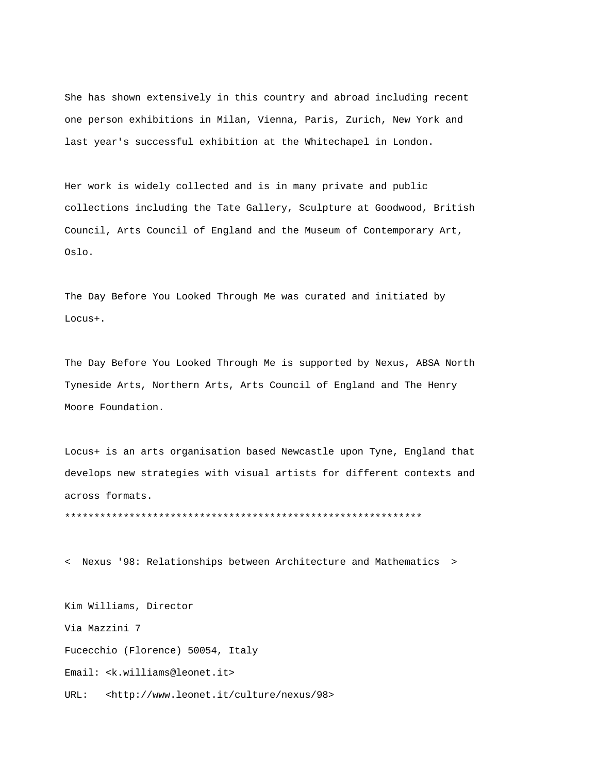She has shown extensively in this country and abroad including recent one person exhibitions in Milan, Vienna, Paris, Zurich, New York and last year's successful exhibition at the Whitechapel in London.

Her work is widely collected and is in many private and public collections including the Tate Gallery, Sculpture at Goodwood, British Council, Arts Council of England and the Museum of Contemporary Art, Oslo.

The Day Before You Looked Through Me was curated and initiated by Locus+.

The Day Before You Looked Through Me is supported by Nexus, ABSA North Tyneside Arts, Northern Arts, Arts Council of England and The Henry Moore Foundation.

Locus+ is an arts organisation based Newcastle upon Tyne, England that develops new strategies with visual artists for different contexts and across formats.

\*\*\*\*\*\*\*\*\*\*\*\*\*\*\*\*\*\*\*\*\*\*\*\*\*\*\*\*\*\*\*\*\*\*\*\*\*\*\*\*\*\*\*\*\*\*\*\*\*\*\*\*\*\*\*\*\*\*\*\*\*

< Nexus '98: Relationships between Architecture and Mathematics >

Kim Williams, Director Via Mazzini 7 Fucecchio (Florence) 50054, Italy Email: <k.williams@leonet.it> URL: <http://www.leonet.it/culture/nexus/98>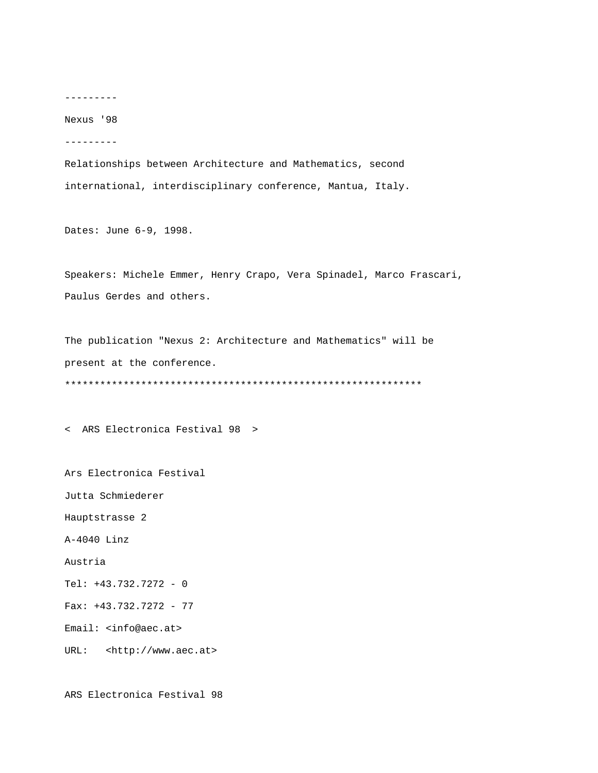---------

Nexus '98

---------

Relationships between Architecture and Mathematics, second international, interdisciplinary conference, Mantua, Italy.

Dates: June 6-9, 1998.

Speakers: Michele Emmer, Henry Crapo, Vera Spinadel, Marco Frascari, Paulus Gerdes and others.

The publication "Nexus 2: Architecture and Mathematics" will be present at the conference. \*\*\*\*\*\*\*\*\*\*\*\*\*\*\*\*\*\*\*\*\*\*\*\*\*\*\*\*\*\*\*\*\*\*\*\*\*\*\*\*\*\*\*\*\*\*\*\*\*\*\*\*\*\*\*\*\*\*\*\*\*

< ARS Electronica Festival 98 >

Ars Electronica Festival

Jutta Schmiederer

Hauptstrasse 2

A-4040 Linz

Austria

Tel: +43.732.7272 - 0

Fax: +43.732.7272 - 77

Email: <info@aec.at>

URL: <http://www.aec.at>

ARS Electronica Festival 98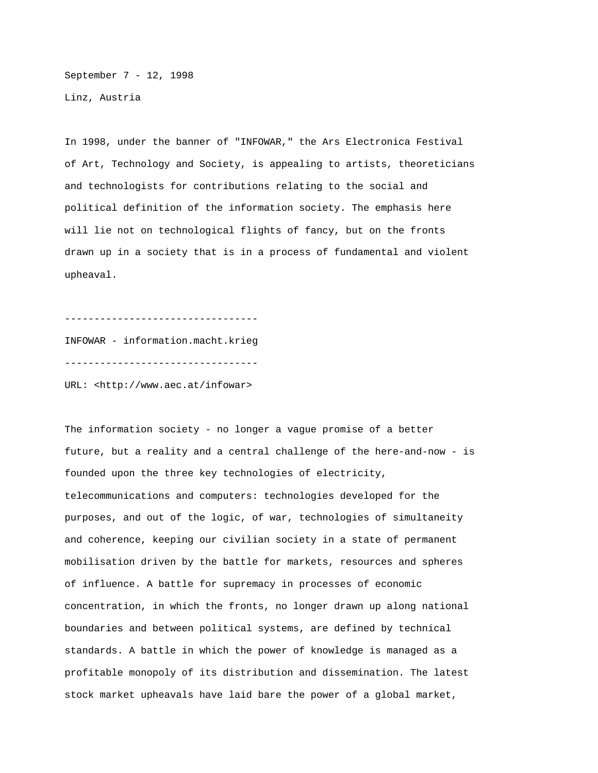September 7 - 12, 1998 Linz, Austria

In 1998, under the banner of "INFOWAR," the Ars Electronica Festival of Art, Technology and Society, is appealing to artists, theoreticians and technologists for contributions relating to the social and political definition of the information society. The emphasis here will lie not on technological flights of fancy, but on the fronts drawn up in a society that is in a process of fundamental and violent upheaval.

---------------------------------

INFOWAR - information.macht.krieg ---------------------------------

URL: <http://www.aec.at/infowar>

The information society - no longer a vague promise of a better future, but a reality and a central challenge of the here-and-now - is founded upon the three key technologies of electricity, telecommunications and computers: technologies developed for the purposes, and out of the logic, of war, technologies of simultaneity and coherence, keeping our civilian society in a state of permanent mobilisation driven by the battle for markets, resources and spheres of influence. A battle for supremacy in processes of economic concentration, in which the fronts, no longer drawn up along national boundaries and between political systems, are defined by technical standards. A battle in which the power of knowledge is managed as a profitable monopoly of its distribution and dissemination. The latest stock market upheavals have laid bare the power of a global market,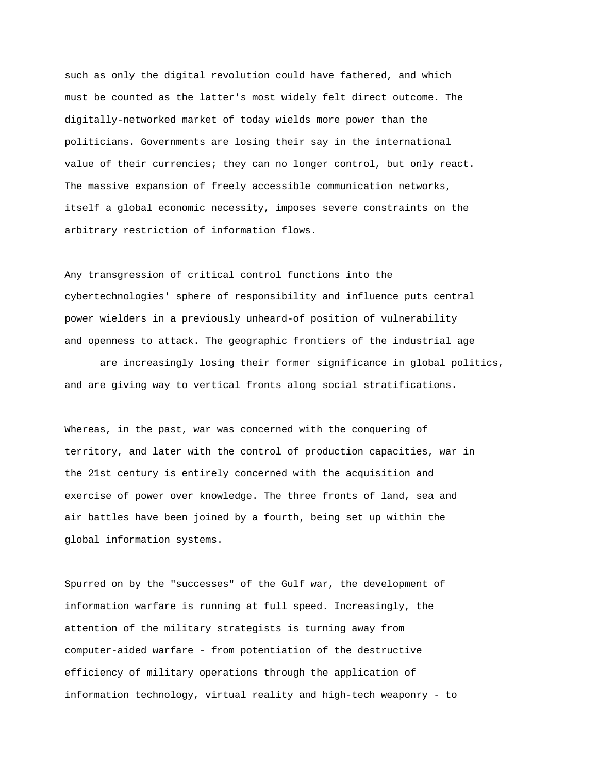such as only the digital revolution could have fathered, and which must be counted as the latter's most widely felt direct outcome. The digitally-networked market of today wields more power than the politicians. Governments are losing their say in the international value of their currencies; they can no longer control, but only react. The massive expansion of freely accessible communication networks, itself a global economic necessity, imposes severe constraints on the arbitrary restriction of information flows.

Any transgression of critical control functions into the cybertechnologies' sphere of responsibility and influence puts central power wielders in a previously unheard-of position of vulnerability and openness to attack. The geographic frontiers of the industrial age

are increasingly losing their former significance in global politics, and are giving way to vertical fronts along social stratifications.

Whereas, in the past, war was concerned with the conquering of territory, and later with the control of production capacities, war in the 21st century is entirely concerned with the acquisition and exercise of power over knowledge. The three fronts of land, sea and air battles have been joined by a fourth, being set up within the global information systems.

Spurred on by the "successes" of the Gulf war, the development of information warfare is running at full speed. Increasingly, the attention of the military strategists is turning away from computer-aided warfare - from potentiation of the destructive efficiency of military operations through the application of information technology, virtual reality and high-tech weaponry - to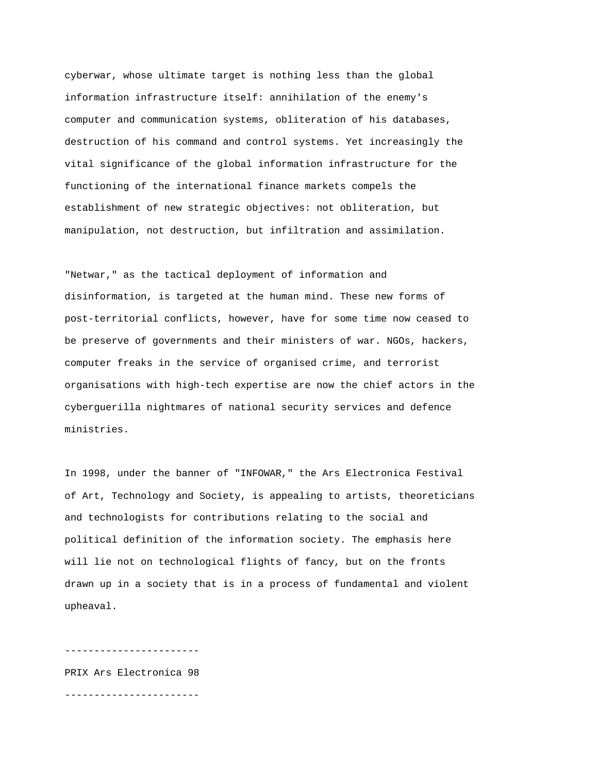cyberwar, whose ultimate target is nothing less than the global information infrastructure itself: annihilation of the enemy's computer and communication systems, obliteration of his databases, destruction of his command and control systems. Yet increasingly the vital significance of the global information infrastructure for the functioning of the international finance markets compels the establishment of new strategic objectives: not obliteration, but manipulation, not destruction, but infiltration and assimilation.

"Netwar," as the tactical deployment of information and disinformation, is targeted at the human mind. These new forms of post-territorial conflicts, however, have for some time now ceased to be preserve of governments and their ministers of war. NGOs, hackers, computer freaks in the service of organised crime, and terrorist organisations with high-tech expertise are now the chief actors in the cyberguerilla nightmares of national security services and defence ministries.

In 1998, under the banner of "INFOWAR," the Ars Electronica Festival of Art, Technology and Society, is appealing to artists, theoreticians and technologists for contributions relating to the social and political definition of the information society. The emphasis here will lie not on technological flights of fancy, but on the fronts drawn up in a society that is in a process of fundamental and violent upheaval.

PRIX Ars Electronica 98 -----------------------

-----------------------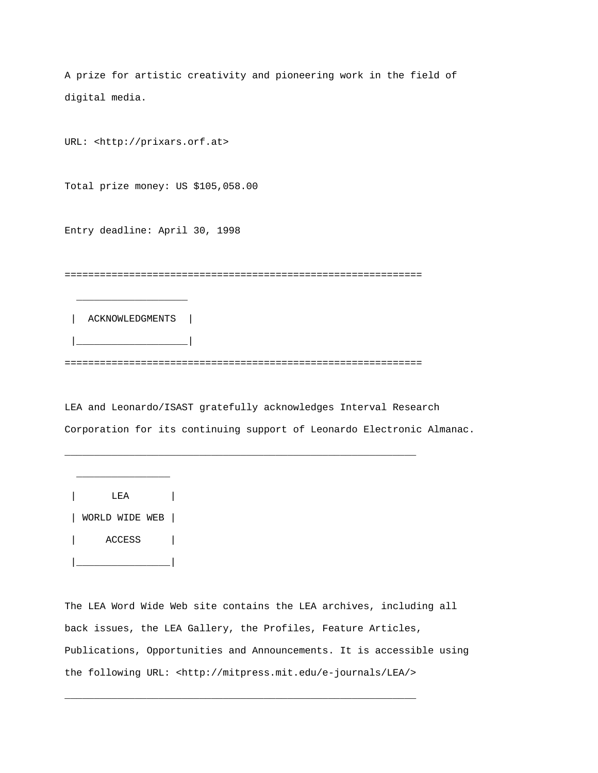A prize for artistic creativity and pioneering work in the field of digital media.

URL: <http://prixars.orf.at>

Total prize money: US \$105,058.00

Entry deadline: April 30, 1998

=============================================================

ACKNOWLEDGMENTS |

|\_\_\_\_\_\_\_\_\_\_\_\_\_\_\_\_\_\_\_|

 $\overline{\phantom{a}}$  , and the set of the set of the set of the set of the set of the set of the set of the set of the set of the set of the set of the set of the set of the set of the set of the set of the set of the set of the s

=============================================================

\_\_\_\_\_\_\_\_\_\_\_\_\_\_\_\_\_\_\_\_\_\_\_\_\_\_\_\_\_\_\_\_\_\_\_\_\_\_\_\_\_\_\_\_\_\_\_\_\_\_\_\_\_\_\_\_\_\_\_\_

LEA and Leonardo/ISAST gratefully acknowledges Interval Research Corporation for its continuing support of Leonardo Electronic Almanac.



The LEA Word Wide Web site contains the LEA archives, including all back issues, the LEA Gallery, the Profiles, Feature Articles, Publications, Opportunities and Announcements. It is accessible using the following URL: <http://mitpress.mit.edu/e-journals/LEA/>

\_\_\_\_\_\_\_\_\_\_\_\_\_\_\_\_\_\_\_\_\_\_\_\_\_\_\_\_\_\_\_\_\_\_\_\_\_\_\_\_\_\_\_\_\_\_\_\_\_\_\_\_\_\_\_\_\_\_\_\_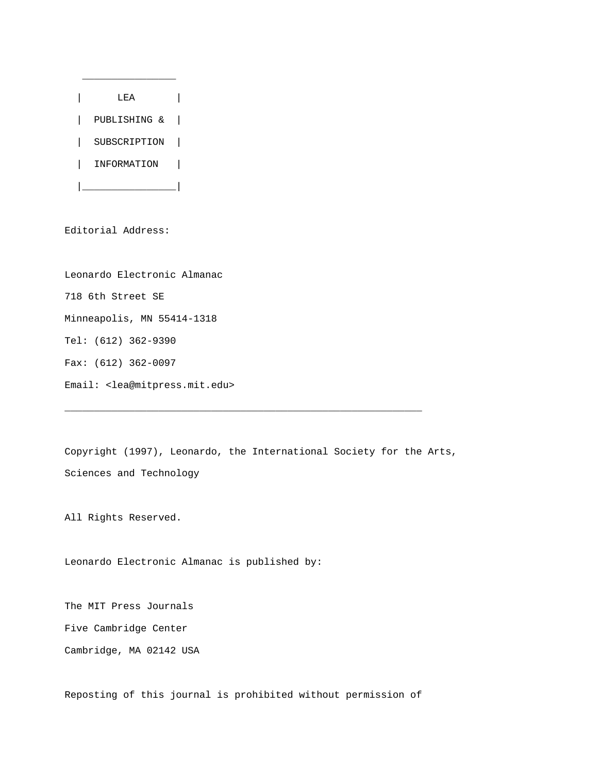

Editorial Address:

Leonardo Electronic Almanac 718 6th Street SE Minneapolis, MN 55414-1318 Tel: (612) 362-9390 Fax: (612) 362-0097 Email: <lea@mitpress.mit.edu>

Copyright (1997), Leonardo, the International Society for the Arts, Sciences and Technology

\_\_\_\_\_\_\_\_\_\_\_\_\_\_\_\_\_\_\_\_\_\_\_\_\_\_\_\_\_\_\_\_\_\_\_\_\_\_\_\_\_\_\_\_\_\_\_\_\_\_\_\_\_\_\_\_\_\_\_\_\_

All Rights Reserved.

Leonardo Electronic Almanac is published by:

The MIT Press Journals Five Cambridge Center Cambridge, MA 02142 USA

Reposting of this journal is prohibited without permission of